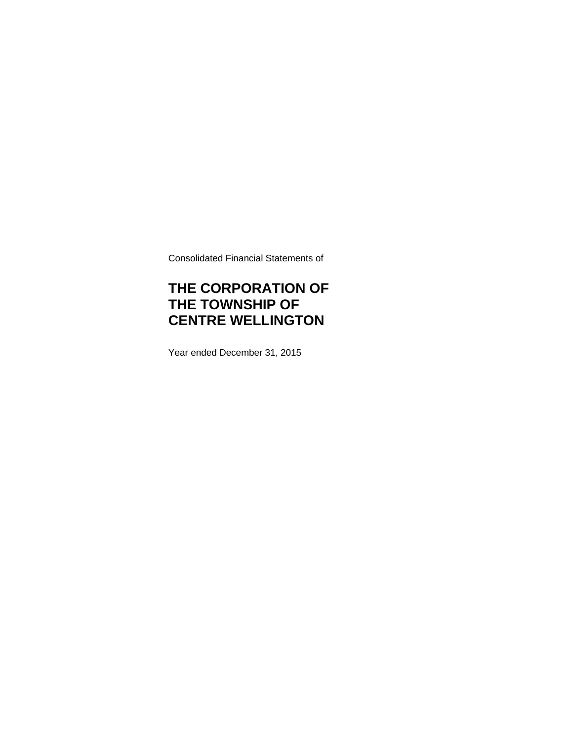Consolidated Financial Statements of

# **THE CORPORATION OF THE TOWNSHIP OF CENTRE WELLINGTON**

Year ended December 31, 2015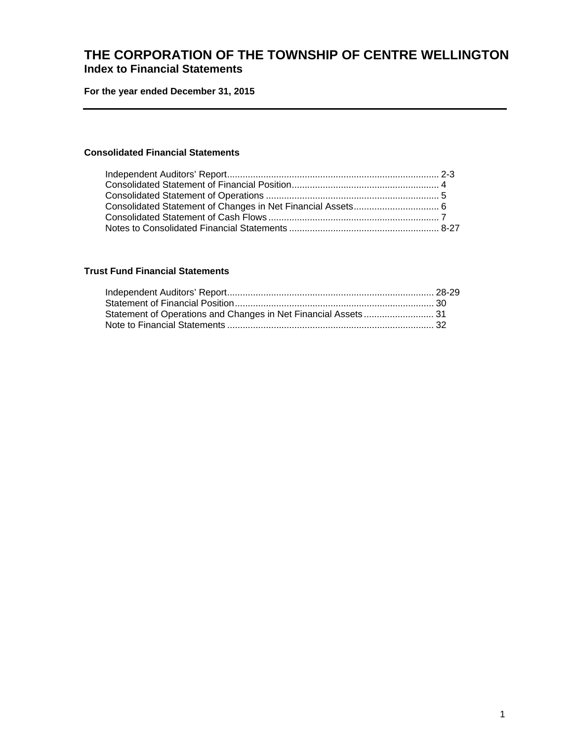## **THE CORPORATION OF THE TOWNSHIP OF CENTRE WELLINGTON Index to Financial Statements**

**For the year ended December 31, 2015** 

#### **Consolidated Financial Statements**

## **Trust Fund Financial Statements**

| Statement of Operations and Changes in Net Financial Assets 31 |  |
|----------------------------------------------------------------|--|
|                                                                |  |
|                                                                |  |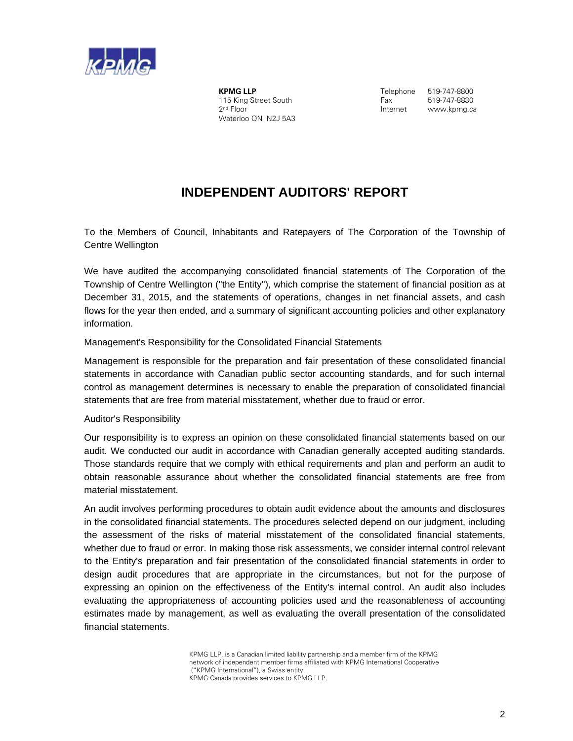

**KPMG LLP** Telephone 519-747-8800 115 King Street South Fax 519-747-8830 2<sup>nd</sup> Floor 2<sup>nd</sup> Floor 2<sup>nd</sup> Floor 2<sup>nd</sup> Floor Waterloo ON N2J 5A3

# **INDEPENDENT AUDITORS' REPORT**

To the Members of Council, Inhabitants and Ratepayers of The Corporation of the Township of Centre Wellington

We have audited the accompanying consolidated financial statements of The Corporation of the Township of Centre Wellington (''the Entity''), which comprise the statement of financial position as at December 31, 2015, and the statements of operations, changes in net financial assets, and cash flows for the year then ended, and a summary of significant accounting policies and other explanatory information.

Management's Responsibility for the Consolidated Financial Statements

Management is responsible for the preparation and fair presentation of these consolidated financial statements in accordance with Canadian public sector accounting standards, and for such internal control as management determines is necessary to enable the preparation of consolidated financial statements that are free from material misstatement, whether due to fraud or error.

### Auditor's Responsibility

Our responsibility is to express an opinion on these consolidated financial statements based on our audit. We conducted our audit in accordance with Canadian generally accepted auditing standards. Those standards require that we comply with ethical requirements and plan and perform an audit to obtain reasonable assurance about whether the consolidated financial statements are free from material misstatement.

An audit involves performing procedures to obtain audit evidence about the amounts and disclosures in the consolidated financial statements. The procedures selected depend on our judgment, including the assessment of the risks of material misstatement of the consolidated financial statements, whether due to fraud or error. In making those risk assessments, we consider internal control relevant to the Entity's preparation and fair presentation of the consolidated financial statements in order to design audit procedures that are appropriate in the circumstances, but not for the purpose of expressing an opinion on the effectiveness of the Entity's internal control. An audit also includes evaluating the appropriateness of accounting policies used and the reasonableness of accounting estimates made by management, as well as evaluating the overall presentation of the consolidated financial statements.

> KPMG LLP, is a Canadian limited liability partnership and a member firm of the KPMG network of independent member firms affiliated with KPMG International Cooperative ("KPMG International"), a Swiss entity. KPMG Canada provides services to KPMG LLP.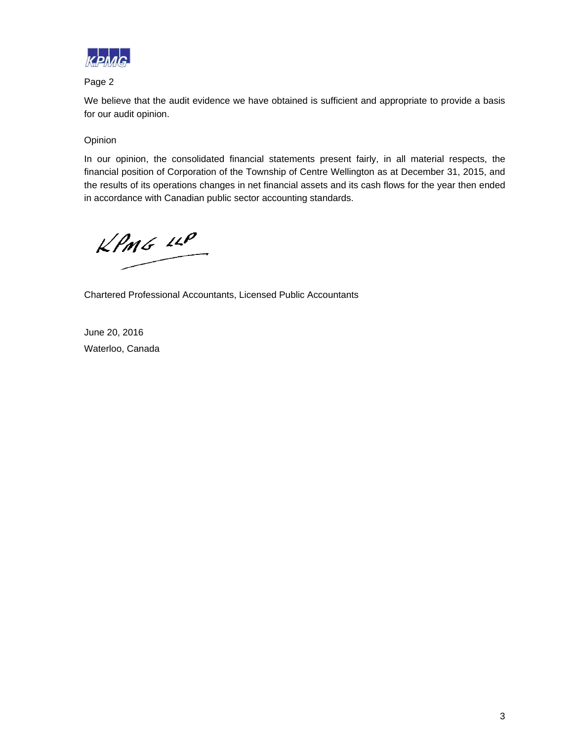

### Page 2

We believe that the audit evidence we have obtained is sufficient and appropriate to provide a basis for our audit opinion.

### Opinion

In our opinion, the consolidated financial statements present fairly, in all material respects, the financial position of Corporation of the Township of Centre Wellington as at December 31, 2015, and the results of its operations changes in net financial assets and its cash flows for the year then ended in accordance with Canadian public sector accounting standards.

 $KPMG$  11P

Chartered Professional Accountants, Licensed Public Accountants

June 20, 2016 Waterloo, Canada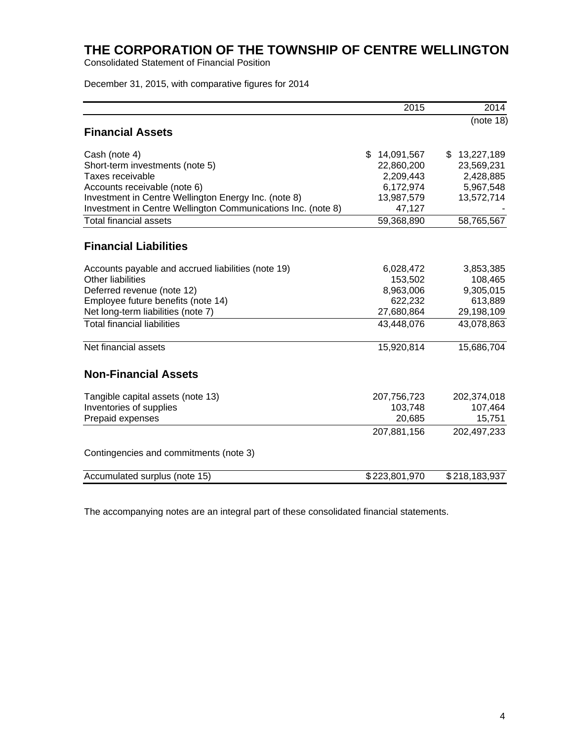Consolidated Statement of Financial Position

December 31, 2015, with comparative figures for 2014

|                                                              | 2015             | 2014             |
|--------------------------------------------------------------|------------------|------------------|
|                                                              |                  | (note 18)        |
| <b>Financial Assets</b>                                      |                  |                  |
| Cash (note 4)                                                | \$<br>14,091,567 | 13,227,189<br>\$ |
| Short-term investments (note 5)                              | 22,860,200       | 23,569,231       |
| Taxes receivable                                             | 2,209,443        | 2,428,885        |
| Accounts receivable (note 6)                                 | 6,172,974        | 5,967,548        |
| Investment in Centre Wellington Energy Inc. (note 8)         | 13,987,579       | 13,572,714       |
| Investment in Centre Wellington Communications Inc. (note 8) | 47,127           |                  |
| <b>Total financial assets</b>                                | 59,368,890       | 58,765,567       |
| <b>Financial Liabilities</b>                                 |                  |                  |
| Accounts payable and accrued liabilities (note 19)           | 6,028,472        | 3,853,385        |
| <b>Other liabilities</b>                                     | 153,502          | 108,465          |
| Deferred revenue (note 12)                                   | 8,963,006        | 9,305,015        |
| Employee future benefits (note 14)                           | 622,232          | 613,889          |
| Net long-term liabilities (note 7)                           | 27,680,864       | 29,198,109       |
| <b>Total financial liabilities</b>                           | 43,448,076       | 43,078,863       |
| Net financial assets                                         | 15,920,814       | 15,686,704       |
| <b>Non-Financial Assets</b>                                  |                  |                  |
| Tangible capital assets (note 13)                            | 207,756,723      | 202,374,018      |
| Inventories of supplies                                      | 103,748          | 107,464          |
| Prepaid expenses                                             | 20,685           | 15,751           |
|                                                              | 207,881,156      | 202,497,233      |
| Contingencies and commitments (note 3)                       |                  |                  |
| Accumulated surplus (note 15)                                | \$223,801,970    | \$218,183,937    |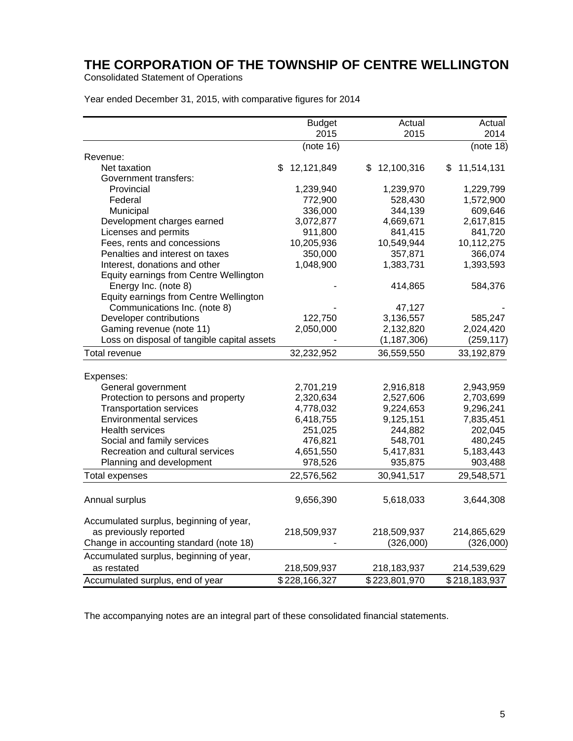Consolidated Statement of Operations

Year ended December 31, 2015, with comparative figures for 2014

|                                             |   | <b>Budget</b><br>2015 | Actual<br>2015   | Actual<br>2014   |
|---------------------------------------------|---|-----------------------|------------------|------------------|
|                                             |   | (note 16)             |                  | (note 18)        |
| Revenue:                                    |   |                       |                  |                  |
| Net taxation                                | S | 12,121,849            | \$<br>12,100,316 | \$<br>11,514,131 |
| Government transfers:                       |   |                       |                  |                  |
| Provincial                                  |   | 1,239,940             | 1,239,970        | 1,229,799        |
| Federal                                     |   | 772,900               | 528,430          | 1,572,900        |
| Municipal                                   |   | 336,000               | 344,139          | 609,646          |
| Development charges earned                  |   | 3,072,877             | 4,669,671        | 2,617,815        |
| Licenses and permits                        |   | 911,800               | 841,415          | 841,720          |
| Fees, rents and concessions                 |   | 10,205,936            | 10,549,944       | 10,112,275       |
| Penalties and interest on taxes             |   | 350,000               | 357,871          | 366,074          |
| Interest, donations and other               |   | 1,048,900             | 1,383,731        | 1,393,593        |
| Equity earnings from Centre Wellington      |   |                       |                  |                  |
| Energy Inc. (note 8)                        |   |                       | 414,865          | 584,376          |
| Equity earnings from Centre Wellington      |   |                       |                  |                  |
| Communications Inc. (note 8)                |   |                       | 47,127           |                  |
| Developer contributions                     |   | 122,750               | 3,136,557        | 585,247          |
| Gaming revenue (note 11)                    |   | 2,050,000             | 2,132,820        | 2,024,420        |
| Loss on disposal of tangible capital assets |   |                       | (1, 187, 306)    | (259, 117)       |
| Total revenue                               |   | 32,232,952            | 36,559,550       | 33,192,879       |
| Expenses:                                   |   |                       |                  |                  |
| General government                          |   | 2,701,219             | 2,916,818        | 2,943,959        |
| Protection to persons and property          |   | 2,320,634             | 2,527,606        | 2,703,699        |
| <b>Transportation services</b>              |   | 4,778,032             | 9,224,653        | 9,296,241        |
| <b>Environmental services</b>               |   | 6,418,755             | 9,125,151        | 7,835,451        |
| <b>Health services</b>                      |   | 251,025               | 244,882          | 202,045          |
| Social and family services                  |   | 476,821               | 548,701          | 480,245          |
| Recreation and cultural services            |   | 4,651,550             | 5,417,831        | 5,183,443        |
| Planning and development                    |   | 978,526               | 935,875          | 903,488          |
| <b>Total expenses</b>                       |   | 22,576,562            | 30,941,517       | 29,548,571       |
| Annual surplus                              |   | 9,656,390             | 5,618,033        | 3,644,308        |
| Accumulated surplus, beginning of year,     |   |                       |                  |                  |
| as previously reported                      |   | 218,509,937           | 218,509,937      | 214,865,629      |
| Change in accounting standard (note 18)     |   |                       | (326,000)        | (326,000)        |
| Accumulated surplus, beginning of year,     |   |                       |                  |                  |
| as restated                                 |   | 218,509,937           | 218,183,937      | 214,539,629      |
| Accumulated surplus, end of year            |   | \$228,166,327         | \$223,801,970    | \$218,183,937    |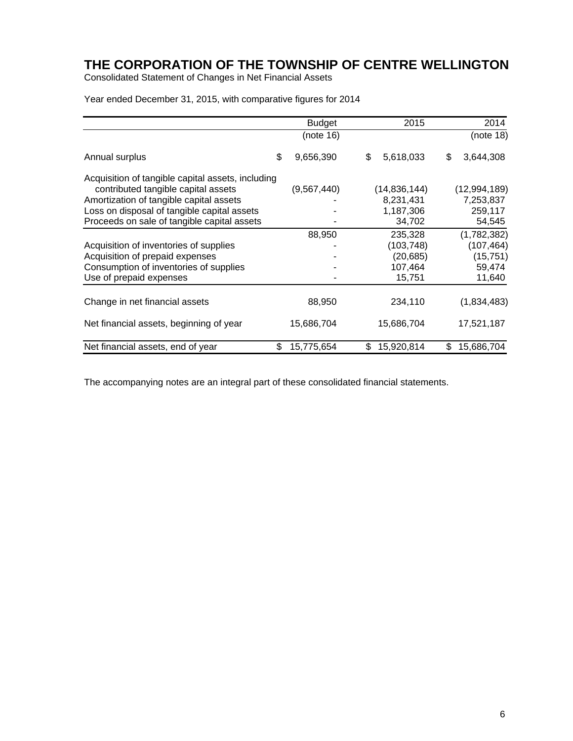Consolidated Statement of Changes in Net Financial Assets

Year ended December 31, 2015, with comparative figures for 2014

|                                                                                          | <b>Budget</b>    | 2015             | 2014             |
|------------------------------------------------------------------------------------------|------------------|------------------|------------------|
|                                                                                          | (note $16$ )     |                  | (note 18)        |
| Annual surplus                                                                           | \$<br>9,656,390  | \$<br>5,618,033  | \$<br>3,644,308  |
| Acquisition of tangible capital assets, including<br>contributed tangible capital assets | (9,567,440)      | (14, 836, 144)   | (12,994,189)     |
| Amortization of tangible capital assets                                                  |                  | 8,231,431        | 7,253,837        |
| Loss on disposal of tangible capital assets                                              |                  | 1,187,306        | 259,117          |
| Proceeds on sale of tangible capital assets                                              |                  | 34,702           | 54,545           |
|                                                                                          | 88,950           | 235,328          | (1,782,382)      |
| Acquisition of inventories of supplies                                                   |                  | (103, 748)       | (107, 464)       |
| Acquisition of prepaid expenses                                                          |                  | (20, 685)        | (15, 751)        |
| Consumption of inventories of supplies                                                   |                  | 107,464          | 59,474           |
| Use of prepaid expenses                                                                  |                  | 15,751           | 11,640           |
| Change in net financial assets                                                           | 88,950           | 234,110          | (1,834,483)      |
| Net financial assets, beginning of year                                                  | 15,686,704       | 15,686,704       | 17,521,187       |
| Net financial assets, end of year                                                        | \$<br>15,775,654 | \$<br>15,920,814 | \$<br>15,686,704 |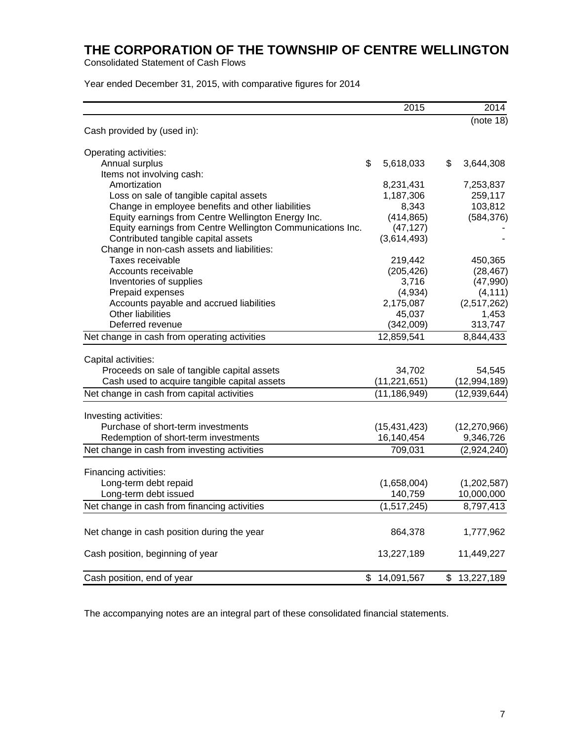Consolidated Statement of Cash Flows

Year ended December 31, 2015, with comparative figures for 2014

|                                                            | 2015             | 2014             |
|------------------------------------------------------------|------------------|------------------|
| Cash provided by (used in):                                |                  | (note 18)        |
|                                                            |                  |                  |
| Operating activities:                                      |                  |                  |
| Annual surplus                                             | \$<br>5,618,033  | \$<br>3,644,308  |
| Items not involving cash:                                  |                  |                  |
| Amortization                                               | 8,231,431        | 7,253,837        |
| Loss on sale of tangible capital assets                    | 1,187,306        | 259,117          |
| Change in employee benefits and other liabilities          | 8,343            | 103,812          |
| Equity earnings from Centre Wellington Energy Inc.         | (414, 865)       | (584, 376)       |
| Equity earnings from Centre Wellington Communications Inc. | (47, 127)        |                  |
| Contributed tangible capital assets                        | (3,614,493)      |                  |
| Change in non-cash assets and liabilities:                 |                  |                  |
| Taxes receivable                                           | 219,442          | 450,365          |
| Accounts receivable                                        | (205, 426)       | (28, 467)        |
| Inventories of supplies                                    | 3,716            | (47,990)         |
| Prepaid expenses                                           | (4,934)          | (4, 111)         |
| Accounts payable and accrued liabilities                   | 2,175,087        | (2,517,262)      |
| Other liabilities                                          | 45,037           | 1,453            |
| Deferred revenue                                           | (342,009)        | 313,747          |
| Net change in cash from operating activities               | 12,859,541       | 8,844,433        |
| Capital activities:                                        |                  |                  |
| Proceeds on sale of tangible capital assets                | 34,702           | 54,545           |
| Cash used to acquire tangible capital assets               | (11, 221, 651)   | (12, 994, 189)   |
| Net change in cash from capital activities                 | (11, 186, 949)   | (12, 939, 644)   |
| Investing activities:                                      |                  |                  |
| Purchase of short-term investments                         | (15, 431, 423)   | (12, 270, 966)   |
| Redemption of short-term investments                       | 16,140,454       | 9,346,726        |
|                                                            |                  |                  |
| Net change in cash from investing activities               | 709,031          | (2,924,240)      |
| Financing activities:                                      |                  |                  |
| Long-term debt repaid                                      | (1,658,004)      | (1,202,587)      |
| Long-term debt issued                                      | 140,759          | 10,000,000       |
| Net change in cash from financing activities               | (1, 517, 245)    | 8,797,413        |
|                                                            |                  |                  |
| Net change in cash position during the year                | 864,378          | 1,777,962        |
| Cash position, beginning of year                           | 13,227,189       | 11,449,227       |
| Cash position, end of year                                 | \$<br>14,091,567 | \$<br>13,227,189 |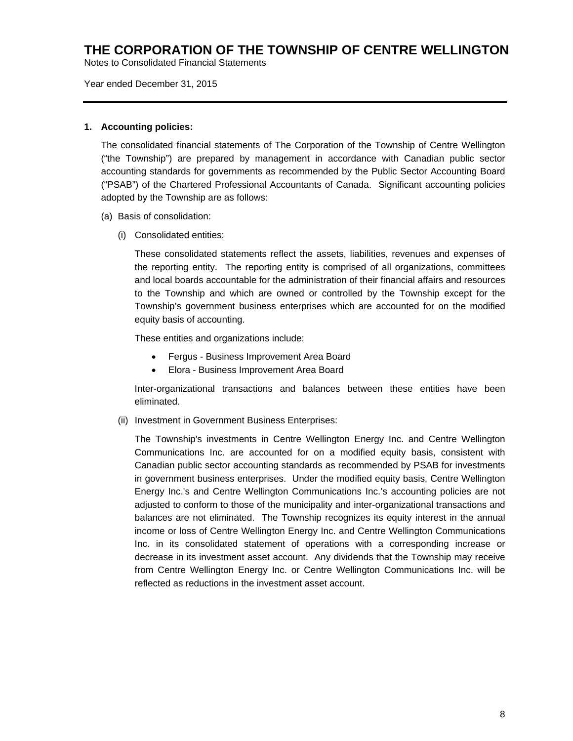Notes to Consolidated Financial Statements

Year ended December 31, 2015

#### **1. Accounting policies:**

The consolidated financial statements of The Corporation of the Township of Centre Wellington ("the Township") are prepared by management in accordance with Canadian public sector accounting standards for governments as recommended by the Public Sector Accounting Board ("PSAB") of the Chartered Professional Accountants of Canada. Significant accounting policies adopted by the Township are as follows:

- (a) Basis of consolidation:
	- (i) Consolidated entities:

These consolidated statements reflect the assets, liabilities, revenues and expenses of the reporting entity. The reporting entity is comprised of all organizations, committees and local boards accountable for the administration of their financial affairs and resources to the Township and which are owned or controlled by the Township except for the Township's government business enterprises which are accounted for on the modified equity basis of accounting.

These entities and organizations include:

- Fergus Business Improvement Area Board
- Elora Business Improvement Area Board

Inter-organizational transactions and balances between these entities have been eliminated.

(ii) Investment in Government Business Enterprises:

The Township's investments in Centre Wellington Energy Inc. and Centre Wellington Communications Inc. are accounted for on a modified equity basis, consistent with Canadian public sector accounting standards as recommended by PSAB for investments in government business enterprises. Under the modified equity basis, Centre Wellington Energy Inc.'s and Centre Wellington Communications Inc.'s accounting policies are not adjusted to conform to those of the municipality and inter-organizational transactions and balances are not eliminated. The Township recognizes its equity interest in the annual income or loss of Centre Wellington Energy Inc. and Centre Wellington Communications Inc. in its consolidated statement of operations with a corresponding increase or decrease in its investment asset account. Any dividends that the Township may receive from Centre Wellington Energy Inc. or Centre Wellington Communications Inc. will be reflected as reductions in the investment asset account.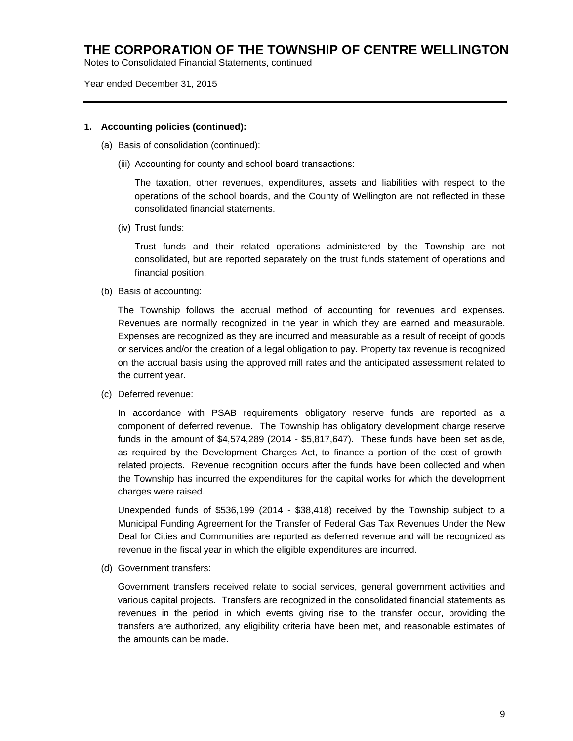Notes to Consolidated Financial Statements, continued

#### Year ended December 31, 2015

#### **1. Accounting policies (continued):**

- (a) Basis of consolidation (continued):
	- (iii) Accounting for county and school board transactions:

The taxation, other revenues, expenditures, assets and liabilities with respect to the operations of the school boards, and the County of Wellington are not reflected in these consolidated financial statements.

(iv) Trust funds:

Trust funds and their related operations administered by the Township are not consolidated, but are reported separately on the trust funds statement of operations and financial position.

(b) Basis of accounting:

The Township follows the accrual method of accounting for revenues and expenses. Revenues are normally recognized in the year in which they are earned and measurable. Expenses are recognized as they are incurred and measurable as a result of receipt of goods or services and/or the creation of a legal obligation to pay. Property tax revenue is recognized on the accrual basis using the approved mill rates and the anticipated assessment related to the current year.

(c) Deferred revenue:

In accordance with PSAB requirements obligatory reserve funds are reported as a component of deferred revenue. The Township has obligatory development charge reserve funds in the amount of \$4,574,289 (2014 - \$5,817,647). These funds have been set aside, as required by the Development Charges Act, to finance a portion of the cost of growthrelated projects. Revenue recognition occurs after the funds have been collected and when the Township has incurred the expenditures for the capital works for which the development charges were raised.

Unexpended funds of \$536,199 (2014 - \$38,418) received by the Township subject to a Municipal Funding Agreement for the Transfer of Federal Gas Tax Revenues Under the New Deal for Cities and Communities are reported as deferred revenue and will be recognized as revenue in the fiscal year in which the eligible expenditures are incurred.

(d) Government transfers:

Government transfers received relate to social services, general government activities and various capital projects. Transfers are recognized in the consolidated financial statements as revenues in the period in which events giving rise to the transfer occur, providing the transfers are authorized, any eligibility criteria have been met, and reasonable estimates of the amounts can be made.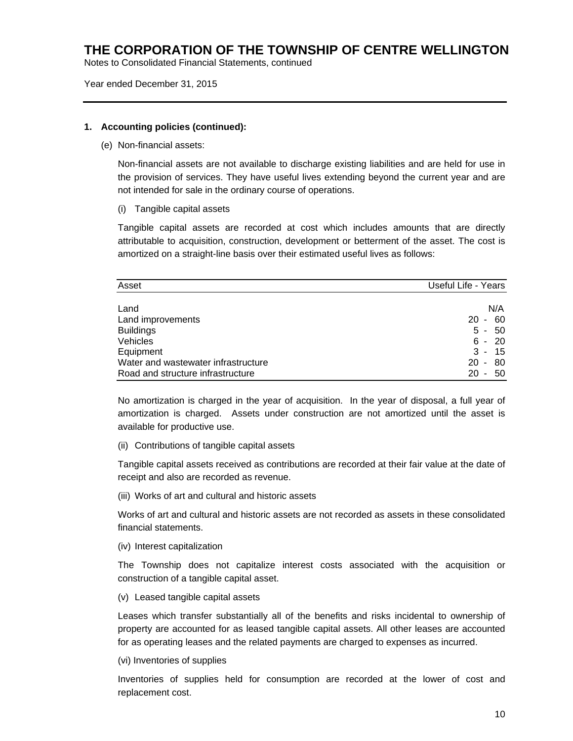Notes to Consolidated Financial Statements, continued

Year ended December 31, 2015

#### **1. Accounting policies (continued):**

(e) Non-financial assets:

Non-financial assets are not available to discharge existing liabilities and are held for use in the provision of services. They have useful lives extending beyond the current year and are not intended for sale in the ordinary course of operations.

(i) Tangible capital assets

Tangible capital assets are recorded at cost which includes amounts that are directly attributable to acquisition, construction, development or betterment of the asset. The cost is amortized on a straight-line basis over their estimated useful lives as follows:

| Asset                               | Useful Life - Years        |
|-------------------------------------|----------------------------|
|                                     |                            |
| Land                                | N/A                        |
| Land improvements                   | 60<br>20<br>$\blacksquare$ |
| <b>Buildings</b>                    | -50<br>5 -                 |
| Vehicles                            | - 20<br>6 -                |
| Equipment                           | $3 -$<br>15                |
| Water and wastewater infrastructure | 80<br>20<br>$\sim$         |
| Road and structure infrastructure   | 20<br>50<br>$\sim$         |

No amortization is charged in the year of acquisition. In the year of disposal, a full year of amortization is charged. Assets under construction are not amortized until the asset is available for productive use.

(ii) Contributions of tangible capital assets

Tangible capital assets received as contributions are recorded at their fair value at the date of receipt and also are recorded as revenue.

(iii) Works of art and cultural and historic assets

Works of art and cultural and historic assets are not recorded as assets in these consolidated financial statements.

(iv) Interest capitalization

The Township does not capitalize interest costs associated with the acquisition or construction of a tangible capital asset.

(v) Leased tangible capital assets

Leases which transfer substantially all of the benefits and risks incidental to ownership of property are accounted for as leased tangible capital assets. All other leases are accounted for as operating leases and the related payments are charged to expenses as incurred.

(vi) Inventories of supplies

Inventories of supplies held for consumption are recorded at the lower of cost and replacement cost.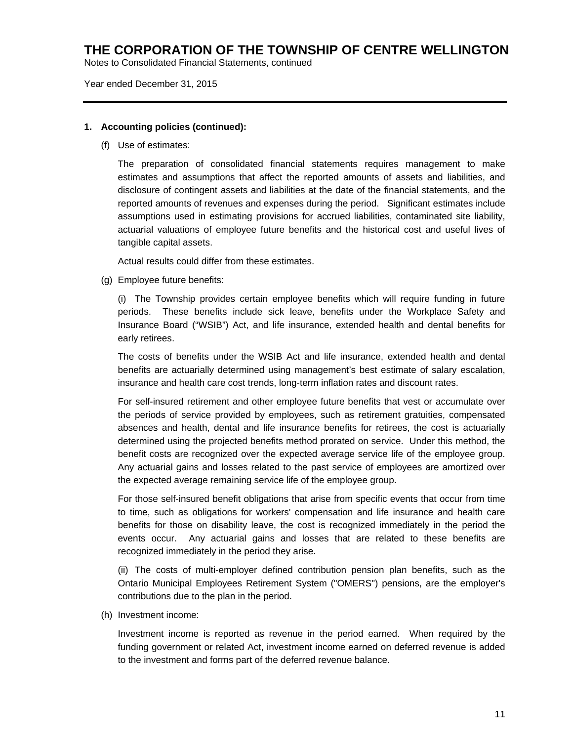Notes to Consolidated Financial Statements, continued

Year ended December 31, 2015

#### **1. Accounting policies (continued):**

(f) Use of estimates:

The preparation of consolidated financial statements requires management to make estimates and assumptions that affect the reported amounts of assets and liabilities, and disclosure of contingent assets and liabilities at the date of the financial statements, and the reported amounts of revenues and expenses during the period. Significant estimates include assumptions used in estimating provisions for accrued liabilities, contaminated site liability, actuarial valuations of employee future benefits and the historical cost and useful lives of tangible capital assets.

Actual results could differ from these estimates.

(g) Employee future benefits:

(i) The Township provides certain employee benefits which will require funding in future periods. These benefits include sick leave, benefits under the Workplace Safety and Insurance Board ("WSIB") Act, and life insurance, extended health and dental benefits for early retirees.

The costs of benefits under the WSIB Act and life insurance, extended health and dental benefits are actuarially determined using management's best estimate of salary escalation, insurance and health care cost trends, long-term inflation rates and discount rates.

For self-insured retirement and other employee future benefits that vest or accumulate over the periods of service provided by employees, such as retirement gratuities, compensated absences and health, dental and life insurance benefits for retirees, the cost is actuarially determined using the projected benefits method prorated on service. Under this method, the benefit costs are recognized over the expected average service life of the employee group. Any actuarial gains and losses related to the past service of employees are amortized over the expected average remaining service life of the employee group.

For those self-insured benefit obligations that arise from specific events that occur from time to time, such as obligations for workers' compensation and life insurance and health care benefits for those on disability leave, the cost is recognized immediately in the period the events occur. Any actuarial gains and losses that are related to these benefits are recognized immediately in the period they arise.

(ii) The costs of multi-employer defined contribution pension plan benefits, such as the Ontario Municipal Employees Retirement System ("OMERS") pensions, are the employer's contributions due to the plan in the period.

(h) Investment income:

Investment income is reported as revenue in the period earned. When required by the funding government or related Act, investment income earned on deferred revenue is added to the investment and forms part of the deferred revenue balance.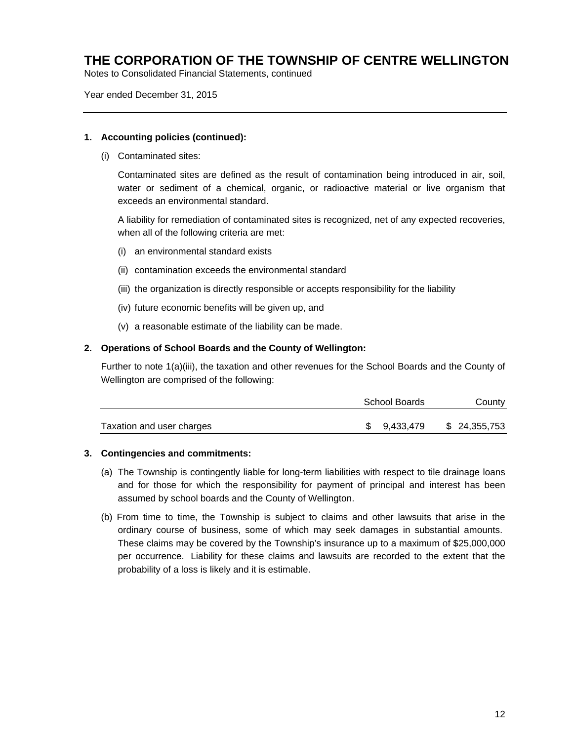Notes to Consolidated Financial Statements, continued

Year ended December 31, 2015

#### **1. Accounting policies (continued):**

(i) Contaminated sites:

Contaminated sites are defined as the result of contamination being introduced in air, soil, water or sediment of a chemical, organic, or radioactive material or live organism that exceeds an environmental standard.

A liability for remediation of contaminated sites is recognized, net of any expected recoveries, when all of the following criteria are met:

- (i) an environmental standard exists
- (ii) contamination exceeds the environmental standard
- (iii) the organization is directly responsible or accepts responsibility for the liability
- (iv) future economic benefits will be given up, and
- (v) a reasonable estimate of the liability can be made.

#### **2. Operations of School Boards and the County of Wellington:**

Further to note 1(a)(iii), the taxation and other revenues for the School Boards and the County of Wellington are comprised of the following:

|                           | School Boards | County       |  |
|---------------------------|---------------|--------------|--|
| Taxation and user charges | \$9,433,479   | \$24,355,753 |  |

### **3. Contingencies and commitments:**

- (a) The Township is contingently liable for long-term liabilities with respect to tile drainage loans and for those for which the responsibility for payment of principal and interest has been assumed by school boards and the County of Wellington.
- (b) From time to time, the Township is subject to claims and other lawsuits that arise in the ordinary course of business, some of which may seek damages in substantial amounts. These claims may be covered by the Township's insurance up to a maximum of \$25,000,000 per occurrence. Liability for these claims and lawsuits are recorded to the extent that the probability of a loss is likely and it is estimable.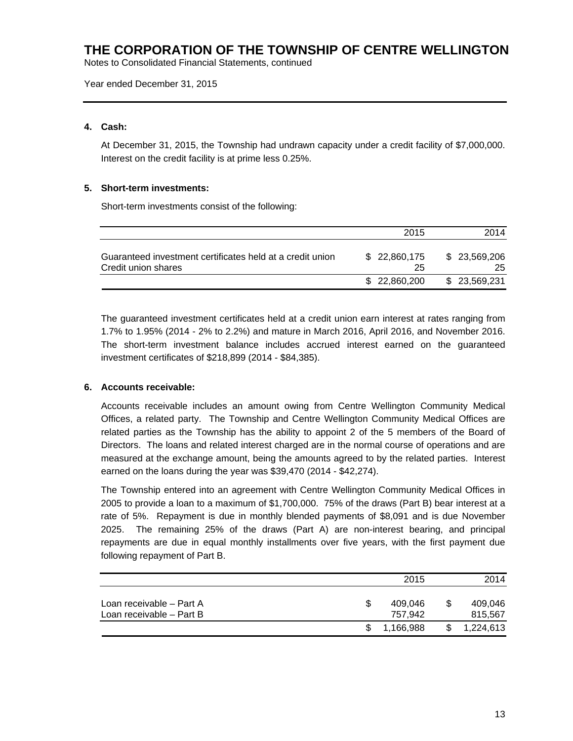Notes to Consolidated Financial Statements, continued

Year ended December 31, 2015

#### **4. Cash:**

At December 31, 2015, the Township had undrawn capacity under a credit facility of \$7,000,000. Interest on the credit facility is at prime less 0.25%.

#### **5. Short-term investments:**

Short-term investments consist of the following:

|                                                                                  | 2015               | 2014               |
|----------------------------------------------------------------------------------|--------------------|--------------------|
| Guaranteed investment certificates held at a credit union<br>Credit union shares | \$22,860,175<br>25 | \$23.569.206<br>25 |
|                                                                                  | \$ 22,860,200      | \$23,569,231       |

The guaranteed investment certificates held at a credit union earn interest at rates ranging from 1.7% to 1.95% (2014 - 2% to 2.2%) and mature in March 2016, April 2016, and November 2016. The short-term investment balance includes accrued interest earned on the guaranteed investment certificates of \$218,899 (2014 - \$84,385).

#### **6. Accounts receivable:**

Accounts receivable includes an amount owing from Centre Wellington Community Medical Offices, a related party. The Township and Centre Wellington Community Medical Offices are related parties as the Township has the ability to appoint 2 of the 5 members of the Board of Directors. The loans and related interest charged are in the normal course of operations and are measured at the exchange amount, being the amounts agreed to by the related parties. Interest earned on the loans during the year was \$39,470 (2014 - \$42,274).

The Township entered into an agreement with Centre Wellington Community Medical Offices in 2005 to provide a loan to a maximum of \$1,700,000. 75% of the draws (Part B) bear interest at a rate of 5%. Repayment is due in monthly blended payments of \$8,091 and is due November 2025. The remaining 25% of the draws (Part A) are non-interest bearing, and principal repayments are due in equal monthly installments over five years, with the first payment due following repayment of Part B.

|                                                      |     | 2015               |   | 2014               |
|------------------------------------------------------|-----|--------------------|---|--------------------|
| Loan receivable - Part A<br>Loan receivable - Part B |     | 409.046<br>757,942 | S | 409,046<br>815,567 |
|                                                      | SS. | 1,166,988          |   | 1,224,613          |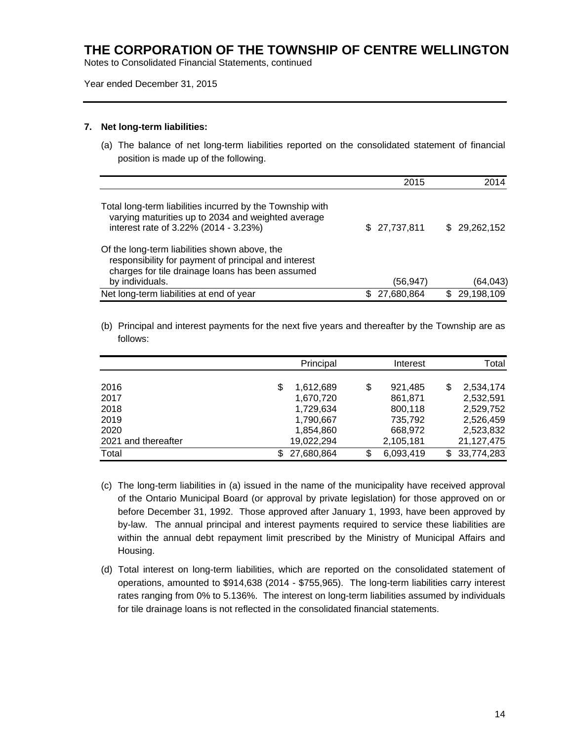Notes to Consolidated Financial Statements, continued

#### Year ended December 31, 2015

#### **7. Net long-term liabilities:**

(a) The balance of net long-term liabilities reported on the consolidated statement of financial position is made up of the following.

|                                                                                                                                                                              | 2015              | 2014              |
|------------------------------------------------------------------------------------------------------------------------------------------------------------------------------|-------------------|-------------------|
| Total long-term liabilities incurred by the Township with<br>varying maturities up to 2034 and weighted average<br>interest rate of 3.22% (2014 - 3.23%)                     | 27,737,811<br>SS. | \$29,262,152      |
| Of the long-term liabilities shown above, the<br>responsibility for payment of principal and interest<br>charges for tile drainage loans has been assumed<br>by individuals. | (56.947)          | (64,043)          |
| Net long-term liabilities at end of year                                                                                                                                     | 27,680,864        | 29,198,109<br>\$. |

(b) Principal and interest payments for the next five years and thereafter by the Township are as follows:

|                     | Principal  | Interest | Total     |    |            |
|---------------------|------------|----------|-----------|----|------------|
|                     |            |          |           |    |            |
| 2016                | 1,612,689  | \$       | 921,485   | \$ | 2,534,174  |
| 2017                | 1,670,720  |          | 861,871   |    | 2,532,591  |
| 2018                | 1,729,634  |          | 800,118   |    | 2,529,752  |
| 2019                | 1,790,667  |          | 735,792   |    | 2,526,459  |
| 2020                | 1,854,860  |          | 668,972   |    | 2,523,832  |
| 2021 and thereafter | 19,022,294 |          | 2,105,181 |    | 21,127,475 |
| Total               | 27,680,864 | \$       | 6,093,419 | \$ | 33,774,283 |

- (c) The long-term liabilities in (a) issued in the name of the municipality have received approval of the Ontario Municipal Board (or approval by private legislation) for those approved on or before December 31, 1992. Those approved after January 1, 1993, have been approved by by-law. The annual principal and interest payments required to service these liabilities are within the annual debt repayment limit prescribed by the Ministry of Municipal Affairs and Housing.
- (d) Total interest on long-term liabilities, which are reported on the consolidated statement of operations, amounted to \$914,638 (2014 - \$755,965). The long-term liabilities carry interest rates ranging from 0% to 5.136%. The interest on long-term liabilities assumed by individuals for tile drainage loans is not reflected in the consolidated financial statements.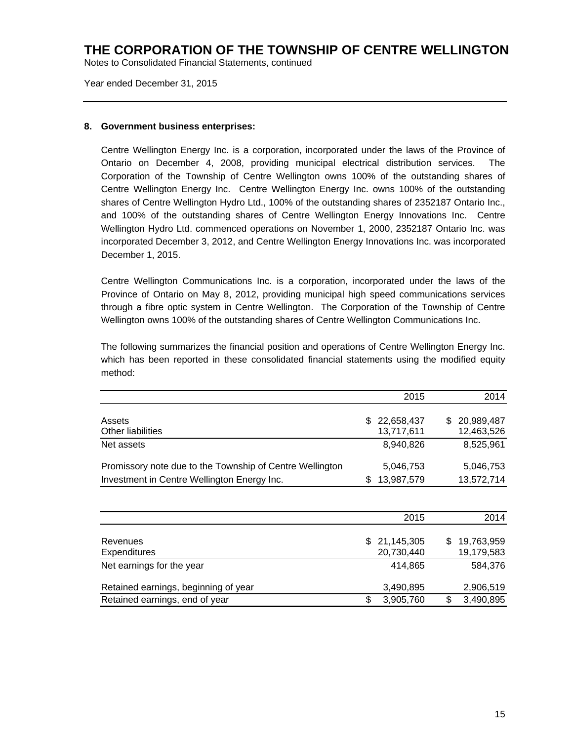Notes to Consolidated Financial Statements, continued

Year ended December 31, 2015

#### **8. Government business enterprises:**

Centre Wellington Energy Inc. is a corporation, incorporated under the laws of the Province of Ontario on December 4, 2008, providing municipal electrical distribution services. The Corporation of the Township of Centre Wellington owns 100% of the outstanding shares of Centre Wellington Energy Inc. Centre Wellington Energy Inc. owns 100% of the outstanding shares of Centre Wellington Hydro Ltd., 100% of the outstanding shares of 2352187 Ontario Inc., and 100% of the outstanding shares of Centre Wellington Energy Innovations Inc. Centre Wellington Hydro Ltd. commenced operations on November 1, 2000, 2352187 Ontario Inc. was incorporated December 3, 2012, and Centre Wellington Energy Innovations Inc. was incorporated December 1, 2015.

Centre Wellington Communications Inc. is a corporation, incorporated under the laws of the Province of Ontario on May 8, 2012, providing municipal high speed communications services through a fibre optic system in Centre Wellington. The Corporation of the Township of Centre Wellington owns 100% of the outstanding shares of Centre Wellington Communications Inc.

The following summarizes the financial position and operations of Centre Wellington Energy Inc. which has been reported in these consolidated financial statements using the modified equity method:

|                                                          | 2015             | 2014             |
|----------------------------------------------------------|------------------|------------------|
| Assets                                                   | \$<br>22,658,437 | \$<br>20,989,487 |
| Other liabilities                                        | 13,717,611       | 12,463,526       |
| Net assets                                               | 8,940,826        | 8,525,961        |
| Promissory note due to the Township of Centre Wellington | 5,046,753        | 5,046,753        |
| Investment in Centre Wellington Energy Inc.              | \$<br>13,987,579 | 13,572,714       |
|                                                          |                  |                  |
|                                                          | 2015             | 2014             |
| Revenues                                                 | \$<br>21,145,305 | \$<br>19,763,959 |
| Expenditures                                             | 20,730,440       | 19,179,583       |
| Net earnings for the year                                | 414,865          | 584,376          |
| Retained earnings, beginning of year                     | 3,490,895        | 2,906,519        |
| Retained earnings, end of year                           | \$<br>3,905,760  | \$<br>3,490,895  |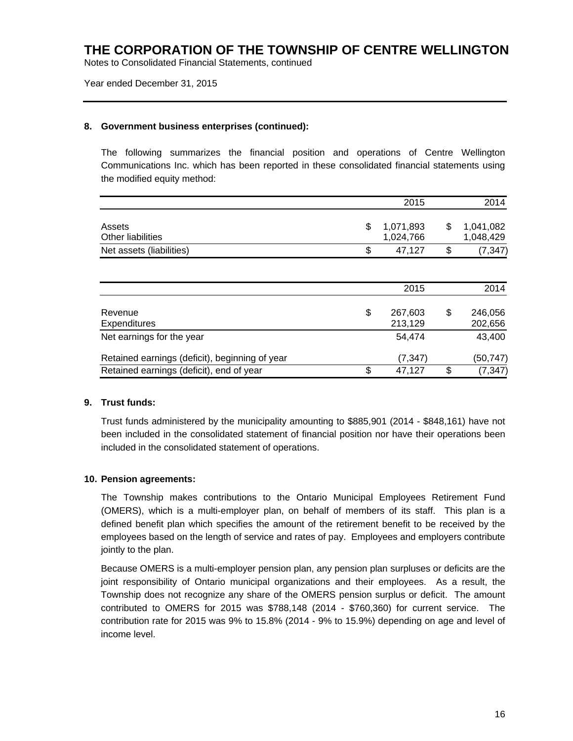Notes to Consolidated Financial Statements, continued

#### Year ended December 31, 2015

#### **8. Government business enterprises (continued):**

The following summarizes the financial position and operations of Centre Wellington Communications Inc. which has been reported in these consolidated financial statements using the modified equity method:

|                                                | 2015                         | 2014                         |
|------------------------------------------------|------------------------------|------------------------------|
| Assets<br><b>Other liabilities</b>             | \$<br>1,071,893<br>1,024,766 | \$<br>1,041,082<br>1,048,429 |
| Net assets (liabilities)                       | \$<br>47,127                 | \$<br>(7, 347)               |
|                                                |                              |                              |
|                                                | 2015                         | 2014                         |
| Revenue<br>Expenditures                        | \$<br>267,603<br>213,129     | \$<br>246,056<br>202,656     |
| Net earnings for the year                      | 54,474                       | 43,400                       |
| Retained earnings (deficit), beginning of year | (7, 347)                     | (50,747)                     |
| Retained earnings (deficit), end of year       | \$<br>47,127                 | \$<br>(7, 347)               |

#### **9. Trust funds:**

Trust funds administered by the municipality amounting to \$885,901 (2014 - \$848,161) have not been included in the consolidated statement of financial position nor have their operations been included in the consolidated statement of operations.

#### **10. Pension agreements:**

The Township makes contributions to the Ontario Municipal Employees Retirement Fund (OMERS), which is a multi-employer plan, on behalf of members of its staff. This plan is a defined benefit plan which specifies the amount of the retirement benefit to be received by the employees based on the length of service and rates of pay. Employees and employers contribute jointly to the plan.

Because OMERS is a multi-employer pension plan, any pension plan surpluses or deficits are the joint responsibility of Ontario municipal organizations and their employees. As a result, the Township does not recognize any share of the OMERS pension surplus or deficit. The amount contributed to OMERS for 2015 was \$788,148 (2014 - \$760,360) for current service. The contribution rate for 2015 was 9% to 15.8% (2014 - 9% to 15.9%) depending on age and level of income level.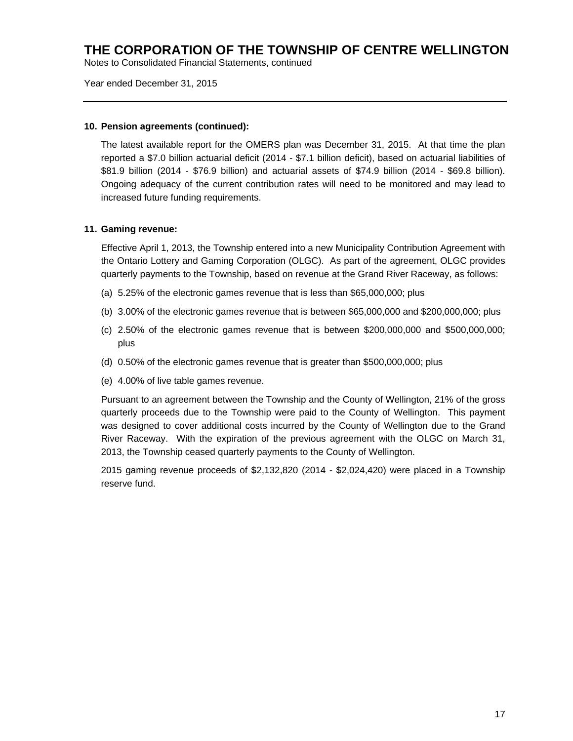Notes to Consolidated Financial Statements, continued

Year ended December 31, 2015

#### **10. Pension agreements (continued):**

The latest available report for the OMERS plan was December 31, 2015. At that time the plan reported a \$7.0 billion actuarial deficit (2014 - \$7.1 billion deficit), based on actuarial liabilities of \$81.9 billion (2014 - \$76.9 billion) and actuarial assets of \$74.9 billion (2014 - \$69.8 billion). Ongoing adequacy of the current contribution rates will need to be monitored and may lead to increased future funding requirements.

#### **11. Gaming revenue:**

Effective April 1, 2013, the Township entered into a new Municipality Contribution Agreement with the Ontario Lottery and Gaming Corporation (OLGC). As part of the agreement, OLGC provides quarterly payments to the Township, based on revenue at the Grand River Raceway, as follows:

- (a) 5.25% of the electronic games revenue that is less than \$65,000,000; plus
- (b) 3.00% of the electronic games revenue that is between \$65,000,000 and \$200,000,000; plus
- (c) 2.50% of the electronic games revenue that is between \$200,000,000 and \$500,000,000; plus
- (d) 0.50% of the electronic games revenue that is greater than \$500,000,000; plus
- (e) 4.00% of live table games revenue.

Pursuant to an agreement between the Township and the County of Wellington, 21% of the gross quarterly proceeds due to the Township were paid to the County of Wellington. This payment was designed to cover additional costs incurred by the County of Wellington due to the Grand River Raceway. With the expiration of the previous agreement with the OLGC on March 31, 2013, the Township ceased quarterly payments to the County of Wellington.

2015 gaming revenue proceeds of \$2,132,820 (2014 - \$2,024,420) were placed in a Township reserve fund.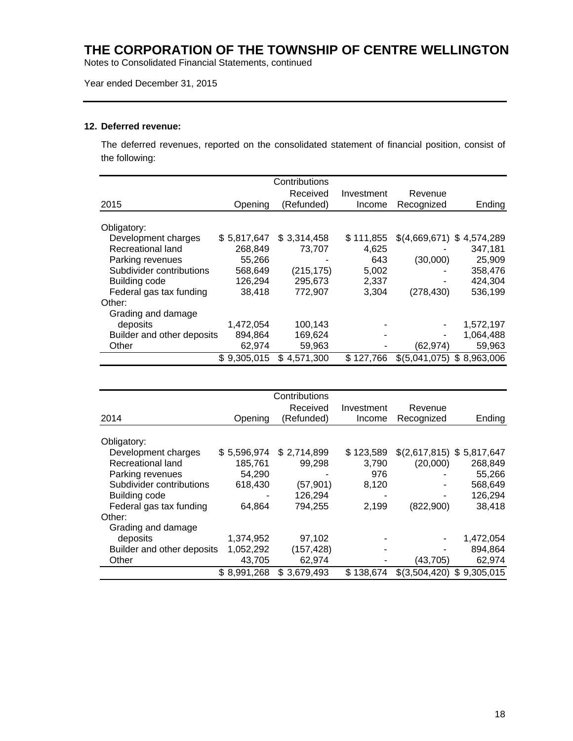Notes to Consolidated Financial Statements, continued

#### Year ended December 31, 2015

#### **12. Deferred revenue:**

The deferred revenues, reported on the consolidated statement of financial position, consist of the following:

|                            |             | Contributions |            |                             |           |
|----------------------------|-------------|---------------|------------|-----------------------------|-----------|
|                            |             | Received      | Investment | Revenue                     |           |
| 2015                       | Opening     | (Refunded)    | Income     | Recognized                  | Ending    |
|                            |             |               |            |                             |           |
| Obligatory:                |             |               |            |                             |           |
| Development charges        | \$5,817,647 | \$3,314,458   | \$111,855  | $$(4,669,671)$ \$ 4,574,289 |           |
| Recreational land          | 268,849     | 73.707        | 4,625      |                             | 347,181   |
| Parking revenues           | 55,266      |               | 643        | (30,000)                    | 25,909    |
| Subdivider contributions   | 568,649     | (215,175)     | 5,002      |                             | 358,476   |
| Building code              | 126,294     | 295,673       | 2,337      |                             | 424,304   |
| Federal gas tax funding    | 38,418      | 772,907       | 3,304      | (278, 430)                  | 536,199   |
| Other:                     |             |               |            |                             |           |
| Grading and damage         |             |               |            |                             |           |
| deposits                   | 1,472,054   | 100,143       |            | ۰                           | 1,572,197 |
| Builder and other deposits | 894,864     | 169,624       | ۰          |                             | 1,064,488 |
| Other                      | 62,974      | 59,963        |            | (62,974)                    | 59,963    |
|                            | \$9,305,015 | \$4,571,300   | \$127.766  | $$(5,041,075)$ \$ 8,963,006 |           |

|                            |             | Contributions |            |                             |           |
|----------------------------|-------------|---------------|------------|-----------------------------|-----------|
|                            |             | Received      | Investment | Revenue                     |           |
| 2014                       | Opening     | (Refunded)    | Income     | Recognized                  | Ending    |
|                            |             |               |            |                             |           |
| Obligatory:                |             |               |            |                             |           |
| Development charges        | \$5,596,974 | \$2,714,899   | \$123.589  | $$(2,617,815)$ \$ 5,817,647 |           |
| Recreational land          | 185.761     | 99.298        | 3.790      | (20,000)                    | 268,849   |
| Parking revenues           | 54,290      |               | 976        |                             | 55,266    |
| Subdivider contributions   | 618,430     | (57, 901)     | 8,120      |                             | 568,649   |
| Building code              |             | 126,294       |            |                             | 126,294   |
| Federal gas tax funding    | 64,864      | 794,255       | 2,199      | (822,900)                   | 38,418    |
| Other:                     |             |               |            |                             |           |
| Grading and damage         |             |               |            |                             |           |
| deposits                   | 1,374,952   | 97,102        |            |                             | 1,472,054 |
| Builder and other deposits | 1,052,292   | (157,428)     |            |                             | 894,864   |
| Other                      | 43,705      | 62,974        |            | (43,705)                    | 62,974    |
|                            | \$8,991,268 | \$3,679,493   | \$138,674  | $$(3,504,420)$ \$ 9,305,015 |           |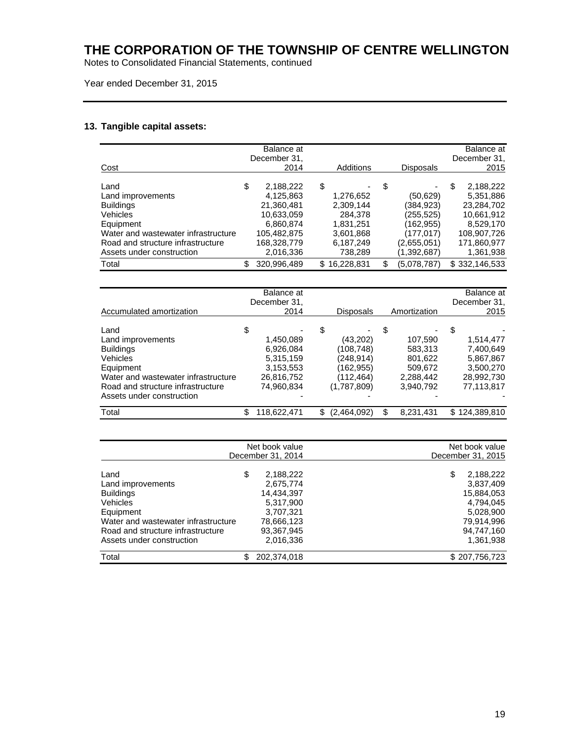Notes to Consolidated Financial Statements, continued

## Year ended December 31, 2015

## **13. Tangible capital assets:**

|                                     | Balance at        |                   |                   | Balance at      |
|-------------------------------------|-------------------|-------------------|-------------------|-----------------|
|                                     | December 31,      |                   |                   | December 31,    |
| <u>Cost</u>                         | 2014              | Additions         | <b>Disposals</b>  | 2015            |
|                                     |                   |                   |                   |                 |
| Land                                | \$<br>2,188,222   | \$                | \$                | \$<br>2,188,222 |
| Land improvements                   | 4,125,863         | 1,276,652         | (50, 629)         | 5,351,886       |
| <b>Buildings</b>                    | 21,360,481        | 2,309,144         | (384,923)         | 23,284,702      |
| Vehicles                            | 10,633,059        | 284,378           | (255,525)         | 10,661,912      |
| Equipment                           | 6,860,874         | 1,831,251         | (162,955)         | 8,529,170       |
| Water and wastewater infrastructure | 105,482,875       | 3,601,868         | (177, 017)        | 108,907,726     |
| Road and structure infrastructure   | 168,328,779       | 6,187,249         | (2,655,051)       | 171,860,977     |
| Assets under construction           | 2,016,336         | 738,289           | (1,392,687)       | 1,361,938       |
| Total                               | \$<br>320,996,489 | \$16,228,831      | \$<br>(5,078,787) | \$332,146,533   |
|                                     |                   |                   |                   |                 |
|                                     |                   |                   |                   |                 |
|                                     | <b>Balance</b> at |                   |                   | Balance at      |
|                                     | December 31,      |                   |                   | December 31,    |
| <b>Accumulated amortization</b>     | 2014              | <b>Disposals</b>  | Amortization      | 2015            |
|                                     |                   |                   |                   |                 |
| Land                                | \$                | \$                | \$                | \$              |
| Land improvements                   | 1,450,089         | (43, 202)         | 107,590           | 1,514,477       |
| <b>Buildings</b>                    | 6,926,084         | (108, 748)        | 583,313           | 7,400,649       |
| Vehicles                            | 5,315,159         | (248,914)         | 801,622           | 5,867,867       |
| Equipment                           | 3,153,553         | (162, 955)        | 509.672           | 3,500,270       |
| Water and wastewater infrastructure | 26,816,752        | (112, 464)        | 2,288,442         | 28,992,730      |
| Road and structure infrastructure   | 74,960,834        | (1,787,809)       | 3,940,792         | 77,113,817      |
| Assets under construction           |                   |                   |                   |                 |
| Total                               | \$<br>118,622,471 | \$<br>(2,464,092) | \$<br>8,231,431   | \$124,389,810   |

|                                                                                                       |     | Net book value<br>December 31, 2014   | Net book value<br>December 31, 2015       |
|-------------------------------------------------------------------------------------------------------|-----|---------------------------------------|-------------------------------------------|
| Land<br>Land improvements<br><b>Buildings</b>                                                         | \$  | 2,188,222<br>2,675,774<br>14,434,397  | 2,188,222<br>S<br>3,837,409<br>15,884,053 |
| <b>Vehicles</b><br>Equipment                                                                          |     | 5,317,900<br>3,707,321                | 4,794,045<br>5,028,900                    |
| Water and wastewater infrastructure<br>Road and structure infrastructure<br>Assets under construction |     | 78,666,123<br>93,367,945<br>2,016,336 | 79,914,996<br>94,747,160<br>1.361.938     |
| Total                                                                                                 | \$. | 202,374,018                           | \$207,756,723                             |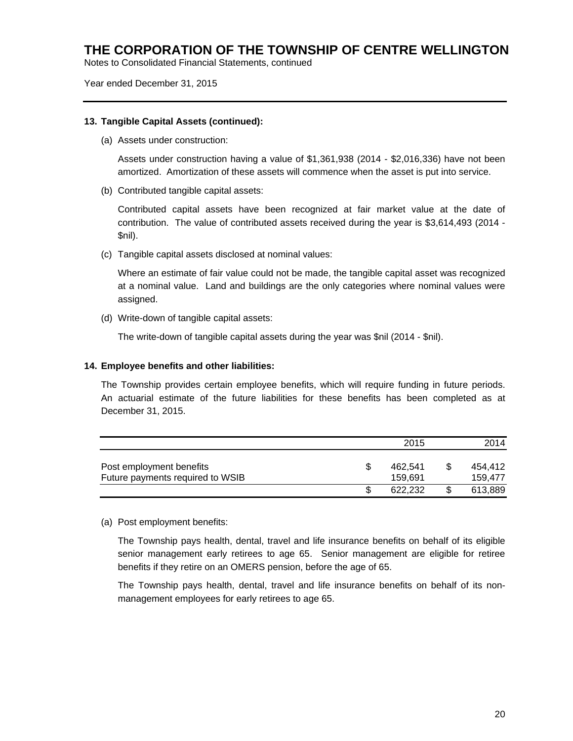Notes to Consolidated Financial Statements, continued

Year ended December 31, 2015

### **13. Tangible Capital Assets (continued):**

(a) Assets under construction:

Assets under construction having a value of \$1,361,938 (2014 - \$2,016,336) have not been amortized. Amortization of these assets will commence when the asset is put into service.

(b) Contributed tangible capital assets:

Contributed capital assets have been recognized at fair market value at the date of contribution. The value of contributed assets received during the year is \$3,614,493 (2014 - \$nil).

(c) Tangible capital assets disclosed at nominal values:

Where an estimate of fair value could not be made, the tangible capital asset was recognized at a nominal value. Land and buildings are the only categories where nominal values were assigned.

(d) Write-down of tangible capital assets:

The write-down of tangible capital assets during the year was \$nil (2014 - \$nil).

#### **14. Employee benefits and other liabilities:**

The Township provides certain employee benefits, which will require funding in future periods. An actuarial estimate of the future liabilities for these benefits has been completed as at December 31, 2015.

|                                                              | 2015               |    | 2014               |
|--------------------------------------------------------------|--------------------|----|--------------------|
| Post employment benefits<br>Future payments required to WSIB | 462.541<br>159.691 | S  | 454.412<br>159.477 |
|                                                              | 622.232            | \$ | 613.889            |

(a) Post employment benefits:

The Township pays health, dental, travel and life insurance benefits on behalf of its eligible senior management early retirees to age 65. Senior management are eligible for retiree benefits if they retire on an OMERS pension, before the age of 65.

The Township pays health, dental, travel and life insurance benefits on behalf of its nonmanagement employees for early retirees to age 65.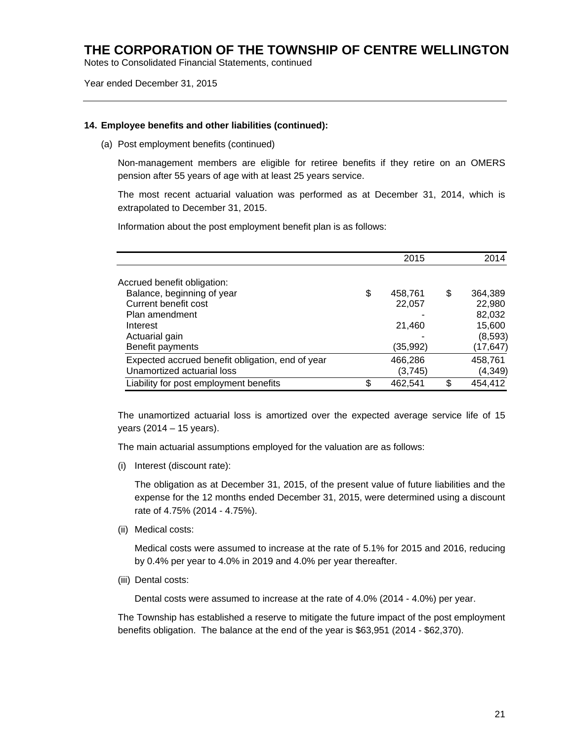Notes to Consolidated Financial Statements, continued

Year ended December 31, 2015

#### **14. Employee benefits and other liabilities (continued):**

(a) Post employment benefits (continued)

Non-management members are eligible for retiree benefits if they retire on an OMERS pension after 55 years of age with at least 25 years service.

The most recent actuarial valuation was performed as at December 31, 2014, which is extrapolated to December 31, 2015.

Information about the post employment benefit plan is as follows:

|                                                           | 2015          | 2014             |
|-----------------------------------------------------------|---------------|------------------|
| Accrued benefit obligation:<br>Balance, beginning of year | \$<br>458,761 | \$<br>364,389    |
| Current benefit cost                                      | 22,057        | 22,980           |
| Plan amendment<br>Interest                                | 21,460        | 82,032<br>15,600 |
| Actuarial gain                                            |               | (8,593)          |
| Benefit payments                                          | (35,992)      | (17, 647)        |
| Expected accrued benefit obligation, end of year          | 466,286       | 458,761          |
| Unamortized actuarial loss                                | (3,745)       | (4, 349)         |
| Liability for post employment benefits                    | \$<br>462,541 | 454,412          |

The unamortized actuarial loss is amortized over the expected average service life of 15 years (2014 – 15 years).

The main actuarial assumptions employed for the valuation are as follows:

(i) Interest (discount rate):

The obligation as at December 31, 2015, of the present value of future liabilities and the expense for the 12 months ended December 31, 2015, were determined using a discount rate of 4.75% (2014 - 4.75%).

(ii) Medical costs:

Medical costs were assumed to increase at the rate of 5.1% for 2015 and 2016, reducing by 0.4% per year to 4.0% in 2019 and 4.0% per year thereafter.

(iii) Dental costs:

Dental costs were assumed to increase at the rate of 4.0% (2014 - 4.0%) per year.

The Township has established a reserve to mitigate the future impact of the post employment benefits obligation. The balance at the end of the year is \$63,951 (2014 - \$62,370).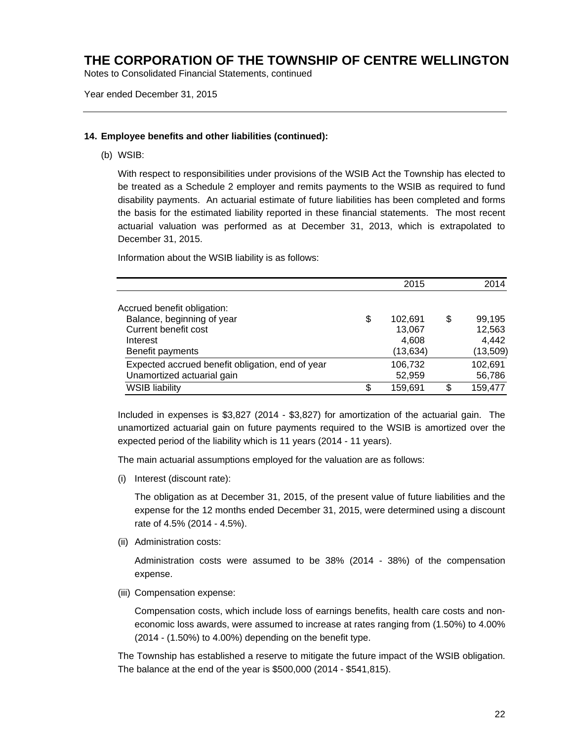Notes to Consolidated Financial Statements, continued

Year ended December 31, 2015

#### **14. Employee benefits and other liabilities (continued):**

(b) WSIB:

With respect to responsibilities under provisions of the WSIB Act the Township has elected to be treated as a Schedule 2 employer and remits payments to the WSIB as required to fund disability payments. An actuarial estimate of future liabilities has been completed and forms the basis for the estimated liability reported in these financial statements. The most recent actuarial valuation was performed as at December 31, 2013, which is extrapolated to December 31, 2015.

Information about the WSIB liability is as follows:

|                                                                                               | 2015                             | 2014                            |
|-----------------------------------------------------------------------------------------------|----------------------------------|---------------------------------|
| Accrued benefit obligation:<br>Balance, beginning of year<br>Current benefit cost<br>Interest | \$<br>102,691<br>13.067<br>4,608 | \$<br>99,195<br>12,563<br>4,442 |
| Benefit payments                                                                              | (13, 634)                        | (13,509)                        |
| Expected accrued benefit obligation, end of year<br>Unamortized actuarial gain                | 106,732<br>52,959                | 102,691<br>56,786               |
| <b>WSIB liability</b>                                                                         | \$<br>159,691                    | 159,477                         |

Included in expenses is \$3,827 (2014 - \$3,827) for amortization of the actuarial gain. The unamortized actuarial gain on future payments required to the WSIB is amortized over the expected period of the liability which is 11 years (2014 - 11 years).

The main actuarial assumptions employed for the valuation are as follows:

(i) Interest (discount rate):

The obligation as at December 31, 2015, of the present value of future liabilities and the expense for the 12 months ended December 31, 2015, were determined using a discount rate of 4.5% (2014 - 4.5%).

(ii) Administration costs:

Administration costs were assumed to be 38% (2014 - 38%) of the compensation expense.

(iii) Compensation expense:

Compensation costs, which include loss of earnings benefits, health care costs and noneconomic loss awards, were assumed to increase at rates ranging from (1.50%) to 4.00% (2014 - (1.50%) to 4.00%) depending on the benefit type.

The Township has established a reserve to mitigate the future impact of the WSIB obligation. The balance at the end of the year is \$500,000 (2014 - \$541,815).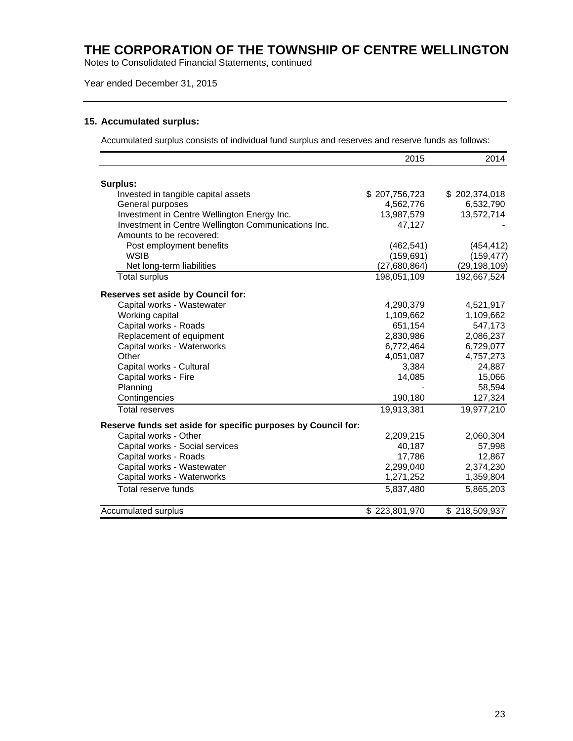Notes to Consolidated Financial Statements, continued

## Year ended December 31, 2015

### **15. Accumulated surplus:**

Accumulated surplus consists of individual fund surplus and reserves and reserve funds as follows:

|                                                               | 2015          | 2014           |
|---------------------------------------------------------------|---------------|----------------|
|                                                               |               |                |
| <b>Surplus:</b>                                               |               |                |
| Invested in tangible capital assets                           | \$207,756,723 | \$202,374,018  |
| General purposes                                              | 4,562,776     | 6,532,790      |
| Investment in Centre Wellington Energy Inc.                   | 13,987,579    | 13,572,714     |
| Investment in Centre Wellington Communications Inc.           | 47,127        |                |
| Amounts to be recovered:                                      |               |                |
| Post employment benefits                                      | (462, 541)    | (454, 412)     |
| <b>WSIB</b>                                                   | (159, 691)    | (159, 477)     |
| Net long-term liabilities                                     | (27,680,864)  | (29, 198, 109) |
| <b>Total surplus</b>                                          | 198,051,109   | 192,667,524    |
| Reserves set aside by Council for:                            |               |                |
| Capital works - Wastewater                                    | 4,290,379     | 4,521,917      |
| Working capital                                               | 1,109,662     | 1,109,662      |
| Capital works - Roads                                         | 651,154       | 547,173        |
| Replacement of equipment                                      | 2,830,986     | 2,086,237      |
| Capital works - Waterworks                                    | 6,772,464     | 6,729,077      |
| Other                                                         | 4,051,087     | 4,757,273      |
| Capital works - Cultural                                      | 3,384         | 24,887         |
| Capital works - Fire                                          | 14,085        | 15,066         |
| Planning                                                      |               | 58,594         |
| Contingencies                                                 | 190,180       | 127,324        |
| Total reserves                                                | 19,913,381    | 19,977,210     |
| Reserve funds set aside for specific purposes by Council for: |               |                |
| Capital works - Other                                         | 2,209,215     | 2,060,304      |
| Capital works - Social services                               | 40,187        | 57,998         |
| Capital works - Roads                                         | 17,786        | 12,867         |
| Capital works - Wastewater                                    | 2,299,040     | 2,374,230      |
| Capital works - Waterworks                                    | 1,271,252     | 1,359,804      |
| Total reserve funds                                           | 5,837,480     | 5,865,203      |
|                                                               |               |                |
| Accumulated surplus                                           | \$223,801,970 | \$218,509,937  |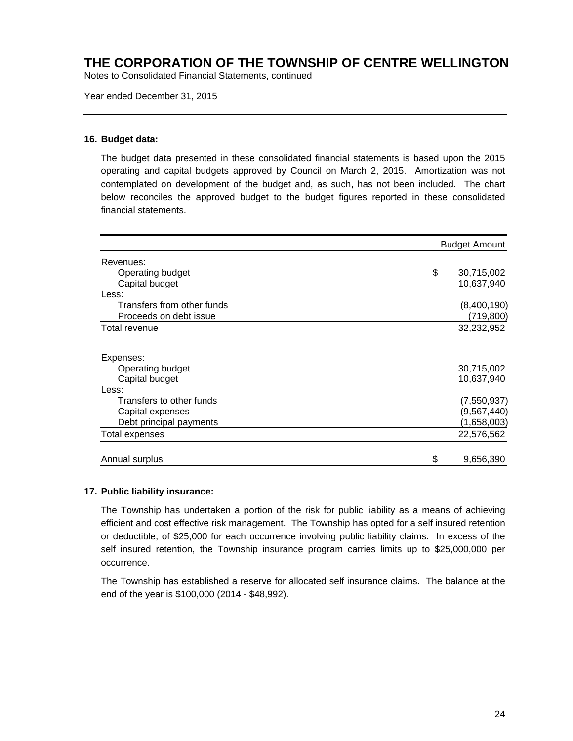Notes to Consolidated Financial Statements, continued

Year ended December 31, 2015

#### **16. Budget data:**

The budget data presented in these consolidated financial statements is based upon the 2015 operating and capital budgets approved by Council on March 2, 2015. Amortization was not contemplated on development of the budget and, as such, has not been included. The chart below reconciles the approved budget to the budget figures reported in these consolidated financial statements.

|                            | <b>Budget Amount</b> |
|----------------------------|----------------------|
| Revenues:                  |                      |
| Operating budget           | \$<br>30,715,002     |
| Capital budget             | 10,637,940           |
| Less:                      |                      |
| Transfers from other funds | (8,400,190)          |
| Proceeds on debt issue     | (719, 800)           |
| Total revenue              | 32,232,952           |
|                            |                      |
| Expenses:                  |                      |
| Operating budget           | 30,715,002           |
| Capital budget             | 10,637,940           |
| Less:                      |                      |
| Transfers to other funds   | (7,550,937)          |
| Capital expenses           | (9,567,440)          |
| Debt principal payments    | (1,658,003)          |
| <b>Total expenses</b>      | 22,576,562           |
| Annual surplus             | \$<br>9,656,390      |

#### **17. Public liability insurance:**

The Township has undertaken a portion of the risk for public liability as a means of achieving efficient and cost effective risk management. The Township has opted for a self insured retention or deductible, of \$25,000 for each occurrence involving public liability claims. In excess of the self insured retention, the Township insurance program carries limits up to \$25,000,000 per occurrence.

The Township has established a reserve for allocated self insurance claims. The balance at the end of the year is \$100,000 (2014 - \$48,992).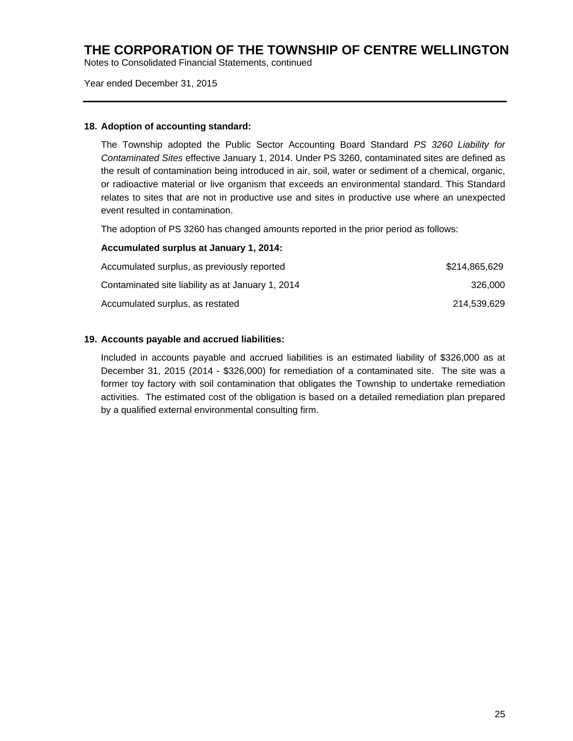Notes to Consolidated Financial Statements, continued

Year ended December 31, 2015

#### **18. Adoption of accounting standard:**

The Township adopted the Public Sector Accounting Board Standard *PS 3260 Liability for Contaminated Sites* effective January 1, 2014. Under PS 3260, contaminated sites are defined as the result of contamination being introduced in air, soil, water or sediment of a chemical, organic, or radioactive material or live organism that exceeds an environmental standard. This Standard relates to sites that are not in productive use and sites in productive use where an unexpected event resulted in contamination.

The adoption of PS 3260 has changed amounts reported in the prior period as follows:

| Accumulated surplus at January 1, 2014:           |               |
|---------------------------------------------------|---------------|
| Accumulated surplus, as previously reported       | \$214,865,629 |
| Contaminated site liability as at January 1, 2014 | 326,000       |
| Accumulated surplus, as restated                  | 214.539.629   |

### **19. Accounts payable and accrued liabilities:**

Included in accounts payable and accrued liabilities is an estimated liability of \$326,000 as at December 31, 2015 (2014 - \$326,000) for remediation of a contaminated site. The site was a former toy factory with soil contamination that obligates the Township to undertake remediation activities. The estimated cost of the obligation is based on a detailed remediation plan prepared by a qualified external environmental consulting firm.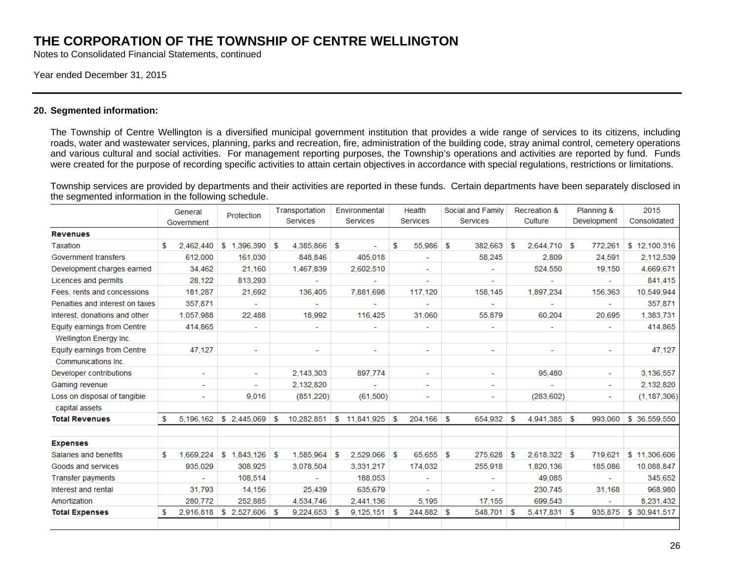Notes to Consolidated Financial Statements, continued

#### Year ended December 31, 2015

#### **20. Segmented information:**

The Township of Centre Wellington is a diversified municipal government institution that provides a wide range of services to its citizens, including roads, water and wastewater services, planning, parks and recreation, fire, administration of the building code, stray animal control, cemetery operations and various cultural and social activities. For management reporting purposes, the Township's operations and activities are reported by fund. Funds were created for the purpose of recording specific activities to attain certain objectives in accordance with special regulations, restrictions or limitations.

Township services are provided by departments and their activities are reported in these funds. Certain departments have been separately disclosed in the segmented information in the following schedule.

|                                 | General                  | Protection               | Transportation           | Environmental       | Health                   | Social and Family        | Recreation &           | Planning &               | 2015          |  |
|---------------------------------|--------------------------|--------------------------|--------------------------|---------------------|--------------------------|--------------------------|------------------------|--------------------------|---------------|--|
|                                 | Government               |                          | Services                 | Services            | <b>Services</b>          | Services                 | Culture                | Development              | Consolidated  |  |
| <b>Revenues</b>                 |                          |                          |                          |                     |                          |                          |                        |                          |               |  |
| Taxation                        | 2.462.440<br>S           | \$1,396,390              | 4,385,866<br>- \$        | S<br>÷              | 55.986<br>\$             | 382,663<br>- \$          | $2,644,710$ \$<br>S    | 772,261                  | \$12,100,316  |  |
| Government transfers            | 612,000                  | 161,030                  | 848,846                  | 405,018             |                          | 58,245                   | 2.809                  | 24,591                   | 2,112,539     |  |
| Development charges earned      | 34.462                   | 21,160                   | 1.467.839                | 2,602,510           | $\sim$                   |                          | 524,550                | 19,150                   | 4.669.671     |  |
| Licences and permits            | 28.122                   | 813,293                  |                          |                     |                          |                          |                        |                          | 841.415       |  |
| Fees, rents and concessions     | 181,287                  | 21.692                   | 136.405                  | 7.881.698           | 117,120                  | 158.145                  | 1.897.234              | 156,363                  | 10.549.944    |  |
| Penalties and interest on taxes | 357,871                  |                          |                          |                     |                          |                          |                        |                          | 357,871       |  |
| Interest, donations and other   | 1,057,988                | 22.488                   | 18,992                   | 116,425             | 31,060                   | 55,879                   | 60,204                 | 20,695                   | 1,383,731     |  |
| Equity earnings from Centre     | 414,865                  |                          | $\overline{\phantom{a}}$ |                     | $\overline{\phantom{0}}$ | ÷.                       | ۳                      |                          | 414,865       |  |
| Wellington Energy Inc.          |                          |                          |                          |                     |                          |                          |                        |                          |               |  |
| Equity earnings from Centre     | 47.127                   | ٠                        | $\overline{\phantom{0}}$ | ٠                   | $\overline{\phantom{0}}$ | $\overline{\phantom{a}}$ | $\sim$                 | $\sim$                   | 47,127        |  |
| Communications Inc.             |                          |                          |                          |                     |                          |                          |                        |                          |               |  |
| Developer contributions         | $\sim$                   | $\overline{\phantom{a}}$ | 2,143,303                | 897,774             | $\overline{\phantom{a}}$ | $\overline{\phantom{a}}$ | 95,480                 | ٠                        | 3,136,557     |  |
| Gaming revenue                  | $\sim$                   |                          | 2,132,820                |                     | $\overline{\phantom{a}}$ | $\overline{\phantom{a}}$ |                        | $\overline{\phantom{a}}$ | 2,132,820     |  |
| Loss on disposal of tangible    | $\overline{\phantom{a}}$ | 9,016                    | (851, 220)               | (61, 500)           | ٠                        | $\overline{\phantom{a}}$ | (283, 602)             | $\overline{\phantom{a}}$ | (1, 187, 306) |  |
| capital assets                  |                          |                          |                          |                     |                          |                          |                        |                          |               |  |
| <b>Total Revenues</b>           | £.<br>5,196,162          | \$2,445,069              | 10,282,851<br>-S         | \$11,841,925        | 204.166 \$<br>∣\$        | 654,932                  | $4,941,385$ \$<br>- \$ | 993,060                  | \$ 36,559,550 |  |
| <b>Expenses</b>                 |                          |                          |                          |                     |                          |                          |                        |                          |               |  |
| Salaries and benefits           | \$<br>1.669.224          | 1.843.126<br>\$          | 1,585,964<br>- \$        | 2.529.066 \$<br>S   | 65.655                   | 275.628<br>-S            | $2.618.322$ \$<br>\$   | 719.621                  | \$11,306,606  |  |
| Goods and services              | 935.029                  | 308.925                  | 3.078.504                | 3.331.217           | 174.032                  | 255.918                  | 1.820.136              | 185,086                  | 10.088.847    |  |
| Transfer payments               |                          | 108,514                  |                          | 188,053             |                          |                          | 49,085                 |                          | 345,652       |  |
| Interest and rental             | 31.793                   | 14,156                   | 25.439                   | 635,679             |                          |                          | 230.745                | 31,168                   | 968.980       |  |
| Amortization                    | 280,772                  | 252,885                  | 4,534,746                | 2,441,136           | 5,195                    | 17.155                   | 699,543                |                          | 8,231,432     |  |
| <b>Total Expenses</b>           | S<br>2,916,818           | S.<br>2.527,606          | 9,224,653<br>- \$        | $9,125,151$ \$<br>S | 244,882 \$               | 548,701                  | - \$<br>$5,417,831$ \$ | 935,875                  | \$ 30,941,517 |  |
|                                 |                          |                          |                          |                     |                          |                          |                        |                          |               |  |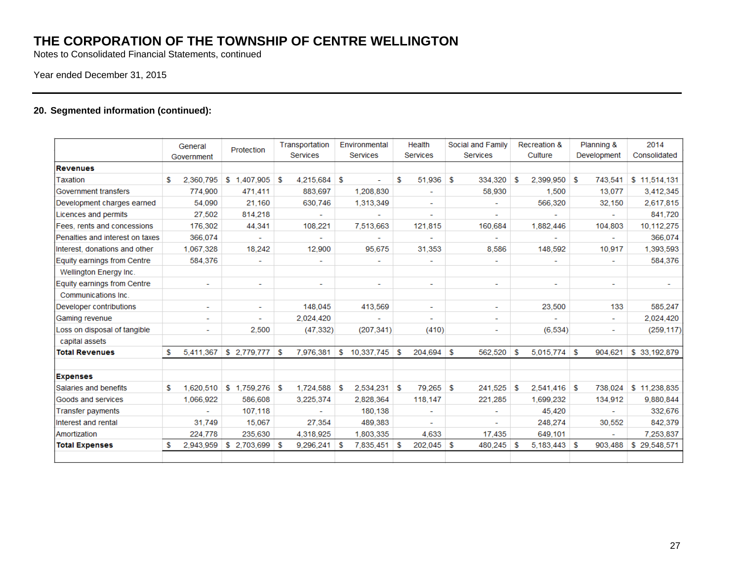Notes to Consolidated Financial Statements, continued

### Year ended December 31, 2015

### **20. Segmented information (continued):**

|                                 | General<br>Government |                          | Protection      | Transportation<br>Environmental<br><b>Services</b><br><b>Services</b> |           | Health<br><b>Services</b> | Social and Family<br><b>Services</b> |    |                          | <b>Recreation &amp;</b><br>Culture | Planning &<br>Development |    | 2014<br>Consolidated     |                          |                          |  |               |  |
|---------------------------------|-----------------------|--------------------------|-----------------|-----------------------------------------------------------------------|-----------|---------------------------|--------------------------------------|----|--------------------------|------------------------------------|---------------------------|----|--------------------------|--------------------------|--------------------------|--|---------------|--|
| <b>Revenues</b>                 |                       |                          |                 |                                                                       |           |                           |                                      |    |                          |                                    |                           |    |                          |                          |                          |  |               |  |
| Taxation                        | s                     | 2.360.795                | \$1,407,905     | - \$                                                                  | 4.215.684 | - \$                      |                                      | S  | 51,936                   | S                                  | 334,320                   | S  | 2,399,950                | -S.                      | 743,541                  |  | \$11,514,131  |  |
| Government transfers            |                       | 774,900                  | 471,411         |                                                                       | 883,697   |                           | 1,208,830                            |    |                          |                                    | 58,930                    |    | 1,500                    |                          | 13,077                   |  | 3.412.345     |  |
| Development charges earned      |                       | 54.090                   | 21,160          |                                                                       | 630,746   |                           | 1,313,349                            |    |                          |                                    | ٠                         |    | 566,320                  |                          | 32,150                   |  | 2,617,815     |  |
| Licences and permits            |                       | 27.502                   | 814,218         |                                                                       |           |                           |                                      |    |                          |                                    | $\overline{\phantom{0}}$  |    |                          |                          |                          |  | 841.720       |  |
| Fees, rents and concessions     |                       | 176,302                  | 44,341          |                                                                       | 108,221   |                           | 7,513,663                            |    | 121,815                  |                                    | 160,684                   |    | 1,882,446                |                          | 104,803                  |  | 10,112,275    |  |
| Penalties and interest on taxes |                       | 366,074                  |                 |                                                                       |           |                           |                                      |    |                          |                                    |                           |    |                          |                          |                          |  | 366,074       |  |
| Interest, donations and other   |                       | 1.067.328                | 18,242          |                                                                       | 12,900    |                           | 95,675                               |    | 31,353                   |                                    | 8,586                     |    | 148,592                  |                          | 10,917                   |  | 1,393,593     |  |
| Equity earnings from Centre     |                       | 584,376                  | ٠               |                                                                       | ۰         |                           |                                      |    |                          | ٠                                  |                           |    |                          | $\overline{\phantom{a}}$ |                          |  | 584,376       |  |
| Wellington Energy Inc.          |                       |                          |                 |                                                                       |           |                           |                                      |    |                          |                                    |                           |    |                          |                          |                          |  |               |  |
| Equity earnings from Centre     |                       | $\overline{\phantom{0}}$ | ۰               |                                                                       | $\sim$    |                           | $\overline{\phantom{a}}$             |    | $\overline{\phantom{a}}$ |                                    | ۰                         |    | $\overline{\phantom{a}}$ |                          | $\sim$                   |  |               |  |
| Communications Inc.             |                       |                          |                 |                                                                       |           |                           |                                      |    |                          |                                    |                           |    |                          |                          |                          |  |               |  |
| Developer contributions         |                       | ٠                        | ۰               |                                                                       | 148,045   |                           | 413,569                              |    | ٠                        |                                    | ٠                         |    | 23,500                   |                          | 133                      |  | 585,247       |  |
| Gaming revenue                  |                       | ۰                        |                 |                                                                       | 2.024.420 |                           |                                      |    |                          |                                    | ۰                         |    |                          |                          | $\overline{\phantom{a}}$ |  | 2.024.420     |  |
| Loss on disposal of tangible    |                       | ٠                        | 2,500           |                                                                       | (47, 332) |                           | (207, 341)                           |    | (410)                    |                                    | ٠                         |    | (6, 534)                 |                          | $\overline{\phantom{a}}$ |  | (259, 117)    |  |
| capital assets                  |                       |                          |                 |                                                                       |           |                           |                                      |    |                          |                                    |                           |    |                          |                          |                          |  |               |  |
| <b>Total Revenues</b>           | S                     | 5,411,367                | $$2,779,777$ \; |                                                                       | 7,976,381 | S.                        | 10,337,745                           | -S | 204,694 \$               |                                    | 562,520                   | -S | $5,015,774$ \$           |                          | 904,621                  |  | \$ 33,192,879 |  |
| <b>Expenses</b>                 |                       |                          |                 |                                                                       |           |                           |                                      |    |                          |                                    |                           |    |                          |                          |                          |  |               |  |
| Salaries and benefits           | \$                    | 1.620.510                | \$1,759,276     | - \$                                                                  | 1,724,588 | \$                        | 2,534,231                            | s. | 79.265                   | \$                                 | 241,525                   | s. | 2.541.416                | ∣\$                      | 738.024                  |  | \$11,238,835  |  |
| Goods and services              |                       | 1,066,922                | 586,608         |                                                                       | 3,225,374 |                           | 2.828.364                            |    | 118,147                  |                                    | 221,285                   |    | 1,699,232                |                          | 134,912                  |  | 9,880,844     |  |
| <b>Transfer payments</b>        |                       |                          | 107.118         |                                                                       |           |                           | 180,138                              |    |                          |                                    |                           |    | 45,420                   |                          |                          |  | 332,676       |  |
| Interest and rental             |                       | 31,749                   | 15,067          |                                                                       | 27,354    |                           | 489,383                              |    |                          |                                    |                           |    | 248,274                  |                          | 30,552                   |  | 842,379       |  |
| Amortization                    |                       | 224,778                  | 235,630         |                                                                       | 4,318,925 |                           | 1,803,335                            |    | 4,633                    |                                    | 17,435                    |    | 649,101                  |                          |                          |  | 7,253,837     |  |
| <b>Total Expenses</b>           | S                     | 2,943,959                | \$ 2,703,699    | - \$                                                                  | 9,296,241 | -96                       | 7,835,451                            | S  | 202,045                  | S                                  | 480,245                   | S  | $5,183,443$ \$           |                          | 903.488                  |  | \$29,548,571  |  |
|                                 |                       |                          |                 |                                                                       |           |                           |                                      |    |                          |                                    |                           |    |                          |                          |                          |  |               |  |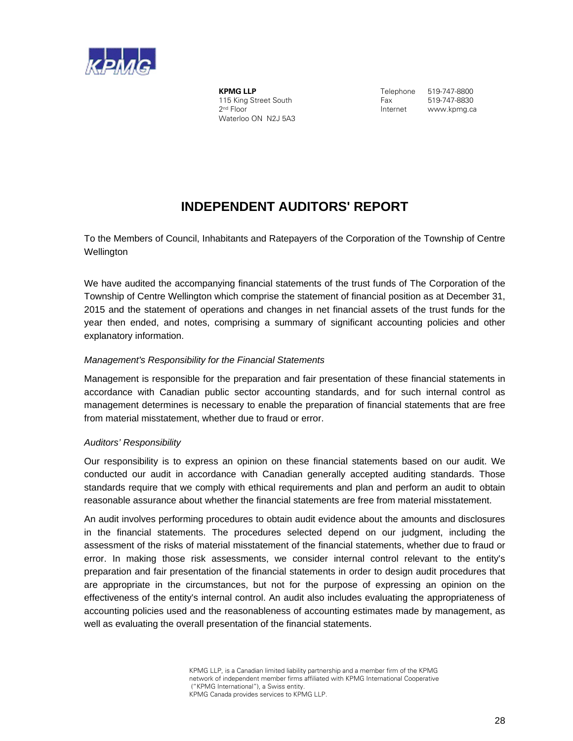

**KPMG LLP** Telephone 519-747-8800 115 King Street South Fax 519-747-8830 2<sup>nd</sup> Floor 2<sup>nd</sup> Floor 2<sup>nd</sup> Floor 2<sup>nd</sup> Floor Waterloo ON N2J 5A3

# **INDEPENDENT AUDITORS' REPORT**

To the Members of Council, Inhabitants and Ratepayers of the Corporation of the Township of Centre **Wellington** 

We have audited the accompanying financial statements of the trust funds of The Corporation of the Township of Centre Wellington which comprise the statement of financial position as at December 31, 2015 and the statement of operations and changes in net financial assets of the trust funds for the year then ended, and notes, comprising a summary of significant accounting policies and other explanatory information.

## *Management's Responsibility for the Financial Statements*

Management is responsible for the preparation and fair presentation of these financial statements in accordance with Canadian public sector accounting standards, and for such internal control as management determines is necessary to enable the preparation of financial statements that are free from material misstatement, whether due to fraud or error.

### *Auditors' Responsibility*

Our responsibility is to express an opinion on these financial statements based on our audit. We conducted our audit in accordance with Canadian generally accepted auditing standards. Those standards require that we comply with ethical requirements and plan and perform an audit to obtain reasonable assurance about whether the financial statements are free from material misstatement.

An audit involves performing procedures to obtain audit evidence about the amounts and disclosures in the financial statements. The procedures selected depend on our judgment, including the assessment of the risks of material misstatement of the financial statements, whether due to fraud or error. In making those risk assessments, we consider internal control relevant to the entity's preparation and fair presentation of the financial statements in order to design audit procedures that are appropriate in the circumstances, but not for the purpose of expressing an opinion on the effectiveness of the entity's internal control. An audit also includes evaluating the appropriateness of accounting policies used and the reasonableness of accounting estimates made by management, as well as evaluating the overall presentation of the financial statements.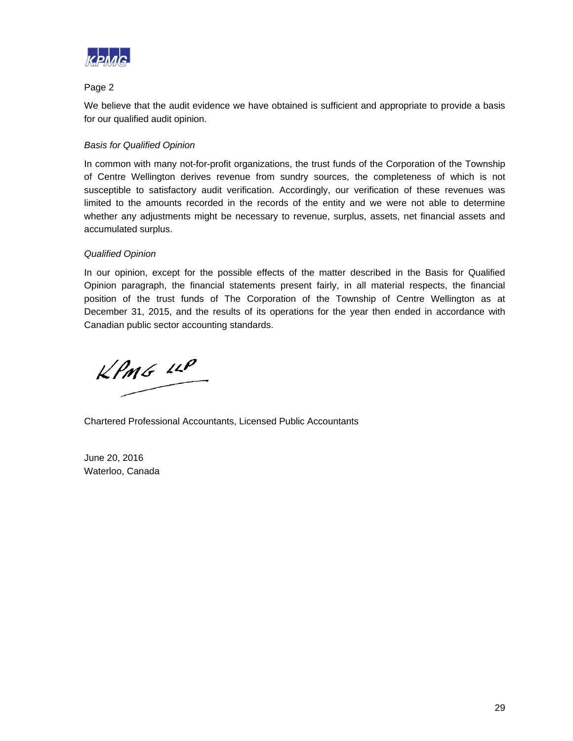

### Page 2

We believe that the audit evidence we have obtained is sufficient and appropriate to provide a basis for our qualified audit opinion.

### *Basis for Qualified Opinion*

In common with many not-for-profit organizations, the trust funds of the Corporation of the Township of Centre Wellington derives revenue from sundry sources, the completeness of which is not susceptible to satisfactory audit verification. Accordingly, our verification of these revenues was limited to the amounts recorded in the records of the entity and we were not able to determine whether any adjustments might be necessary to revenue, surplus, assets, net financial assets and accumulated surplus.

### *Qualified Opinion*

In our opinion, except for the possible effects of the matter described in the Basis for Qualified Opinion paragraph, the financial statements present fairly, in all material respects, the financial position of the trust funds of The Corporation of the Township of Centre Wellington as at December 31, 2015, and the results of its operations for the year then ended in accordance with Canadian public sector accounting standards.

 $kPMS$   $\mu P$ 

Chartered Professional Accountants, Licensed Public Accountants

June 20, 2016 Waterloo, Canada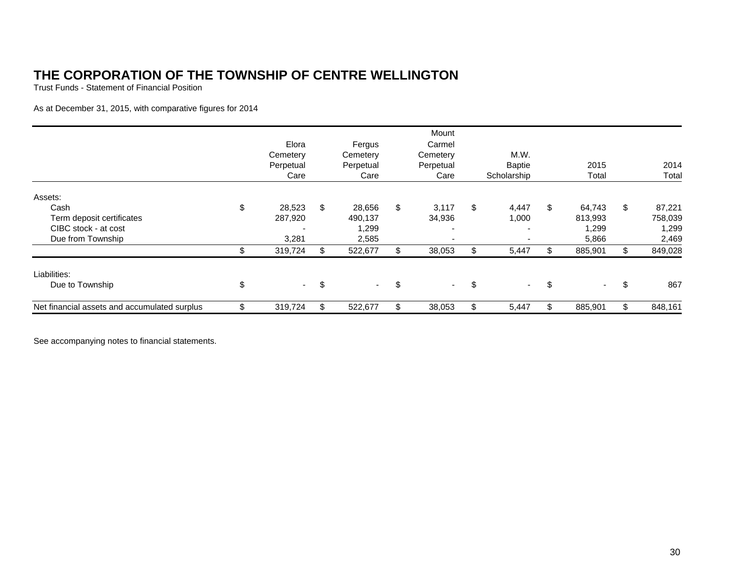Trust Funds - Statement of Financial Position

As at December 31, 2015, with comparative figures for 2014

|                                              | Elora<br>Cemetery<br>Perpetual<br>Care |    | Fergus<br>Cemetery<br>Perpetual<br>Care | Mount<br>Carmel<br>Cemetery<br>Perpetual<br>Care | M.W.<br><b>Baptie</b><br>Scholarship | 2015<br>Total                  | 2014<br>Total |
|----------------------------------------------|----------------------------------------|----|-----------------------------------------|--------------------------------------------------|--------------------------------------|--------------------------------|---------------|
| Assets:                                      |                                        |    |                                         |                                                  |                                      |                                |               |
| Cash                                         | \$<br>28,523                           | \$ | 28,656                                  | \$<br>3,117                                      | \$<br>4,447                          | \$<br>64.743                   | \$<br>87,221  |
| Term deposit certificates                    | 287,920                                |    | 490,137                                 | 34,936                                           | 1,000                                | 813,993                        | 758,039       |
| CIBC stock - at cost                         |                                        |    | 1,299                                   | $\overline{\phantom{0}}$                         |                                      | 1,299                          | 1,299         |
| Due from Township                            | 3,281                                  |    | 2,585                                   | $\overline{\phantom{a}}$                         |                                      | 5,866                          | 2,469         |
|                                              | 319,724                                | \$ | 522,677                                 | \$<br>38,053                                     | 5,447                                | \$<br>885,901                  | \$<br>849,028 |
| Liabilities:                                 |                                        |    |                                         |                                                  |                                      |                                |               |
| Due to Township                              | \$<br>$\sim 100$                       | \$ | $\sim$                                  | \$<br>н.                                         | \$<br>$\sim$                         | \$<br>$\overline{\phantom{a}}$ | \$<br>867     |
| Net financial assets and accumulated surplus | 319,724                                | S  | 522,677                                 | \$<br>38,053                                     | 5,447                                | \$<br>885,901                  | \$<br>848,161 |

See accompanying notes to financial statements.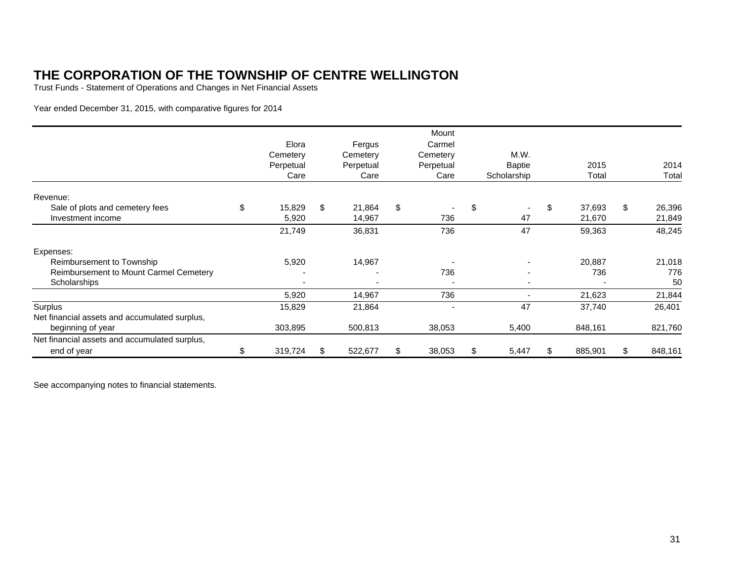Trust Funds - Statement of Operations and Changes in Net Financial Assets

Year ended December 31, 2015, with comparative figures for 2014

|                                               |               |               | Mount        |               |               |               |
|-----------------------------------------------|---------------|---------------|--------------|---------------|---------------|---------------|
|                                               | Elora         | Fergus        | Carmel       |               |               |               |
|                                               | Cemetery      | Cemetery      | Cemetery     | M.W.          |               |               |
|                                               | Perpetual     | Perpetual     | Perpetual    | <b>Baptie</b> | 2015          | 2014          |
|                                               | Care          | Care          | Care         | Scholarship   | Total         | Total         |
| Revenue:                                      |               |               |              |               |               |               |
| Sale of plots and cemetery fees               | \$<br>15,829  | \$<br>21,864  | \$           | \$            | \$<br>37,693  | \$<br>26,396  |
| Investment income                             | 5,920         | 14,967        | 736          | 47            | 21,670        | 21,849        |
|                                               | 21,749        | 36,831        | 736          | 47            | 59,363        | 48,245        |
| Expenses:                                     |               |               |              |               |               |               |
| Reimbursement to Township                     | 5,920         | 14,967        |              |               | 20,887        | 21,018        |
| Reimbursement to Mount Carmel Cemetery        |               |               | 736          |               | 736           | 776           |
| Scholarships                                  |               |               |              |               |               | 50            |
|                                               | 5,920         | 14,967        | 736          |               | 21,623        | 21,844        |
| Surplus                                       | 15,829        | 21,864        |              | 47            | 37,740        | 26,401        |
| Net financial assets and accumulated surplus, |               |               |              |               |               |               |
| beginning of year                             | 303,895       | 500,813       | 38,053       | 5,400         | 848,161       | 821,760       |
| Net financial assets and accumulated surplus, |               |               |              |               |               |               |
| end of year                                   | \$<br>319,724 | \$<br>522,677 | \$<br>38,053 | \$<br>5,447   | \$<br>885,901 | \$<br>848,161 |

See accompanying notes to financial statements.